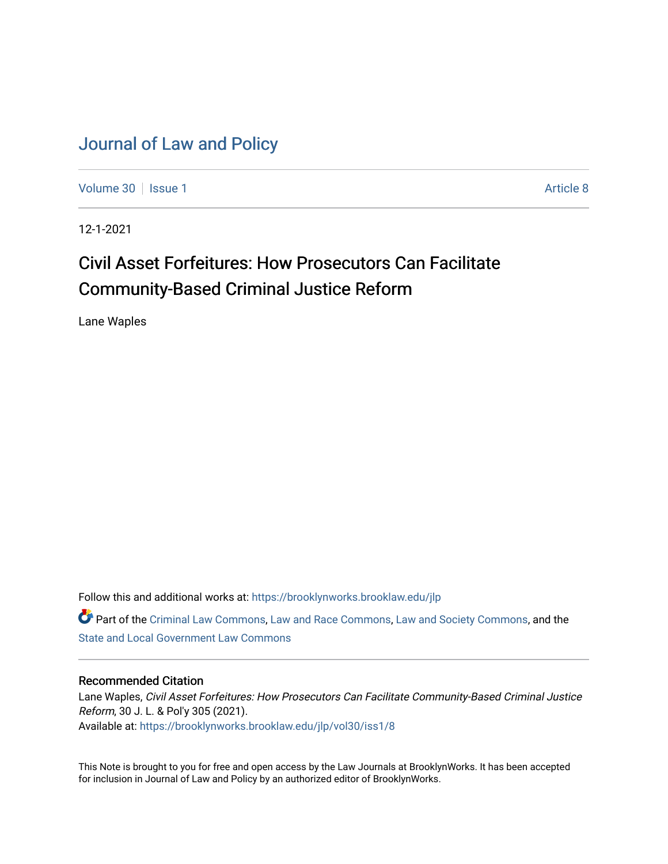# [Journal of Law and Policy](https://brooklynworks.brooklaw.edu/jlp)

[Volume 30](https://brooklynworks.brooklaw.edu/jlp/vol30) | [Issue 1](https://brooklynworks.brooklaw.edu/jlp/vol30/iss1) Article 8

12-1-2021

# Civil Asset Forfeitures: How Prosecutors Can Facilitate Community-Based Criminal Justice Reform

Lane Waples

Follow this and additional works at: [https://brooklynworks.brooklaw.edu/jlp](https://brooklynworks.brooklaw.edu/jlp?utm_source=brooklynworks.brooklaw.edu%2Fjlp%2Fvol30%2Fiss1%2F8&utm_medium=PDF&utm_campaign=PDFCoverPages) 

Part of the [Criminal Law Commons,](http://network.bepress.com/hgg/discipline/912?utm_source=brooklynworks.brooklaw.edu%2Fjlp%2Fvol30%2Fiss1%2F8&utm_medium=PDF&utm_campaign=PDFCoverPages) [Law and Race Commons,](http://network.bepress.com/hgg/discipline/1300?utm_source=brooklynworks.brooklaw.edu%2Fjlp%2Fvol30%2Fiss1%2F8&utm_medium=PDF&utm_campaign=PDFCoverPages) [Law and Society Commons](http://network.bepress.com/hgg/discipline/853?utm_source=brooklynworks.brooklaw.edu%2Fjlp%2Fvol30%2Fiss1%2F8&utm_medium=PDF&utm_campaign=PDFCoverPages), and the [State and Local Government Law Commons](http://network.bepress.com/hgg/discipline/879?utm_source=brooklynworks.brooklaw.edu%2Fjlp%2Fvol30%2Fiss1%2F8&utm_medium=PDF&utm_campaign=PDFCoverPages) 

## Recommended Citation

Lane Waples, Civil Asset Forfeitures: How Prosecutors Can Facilitate Community-Based Criminal Justice Reform, 30 J. L. & Pol'y 305 (2021). Available at: [https://brooklynworks.brooklaw.edu/jlp/vol30/iss1/8](https://brooklynworks.brooklaw.edu/jlp/vol30/iss1/8?utm_source=brooklynworks.brooklaw.edu%2Fjlp%2Fvol30%2Fiss1%2F8&utm_medium=PDF&utm_campaign=PDFCoverPages)

This Note is brought to you for free and open access by the Law Journals at BrooklynWorks. It has been accepted for inclusion in Journal of Law and Policy by an authorized editor of BrooklynWorks.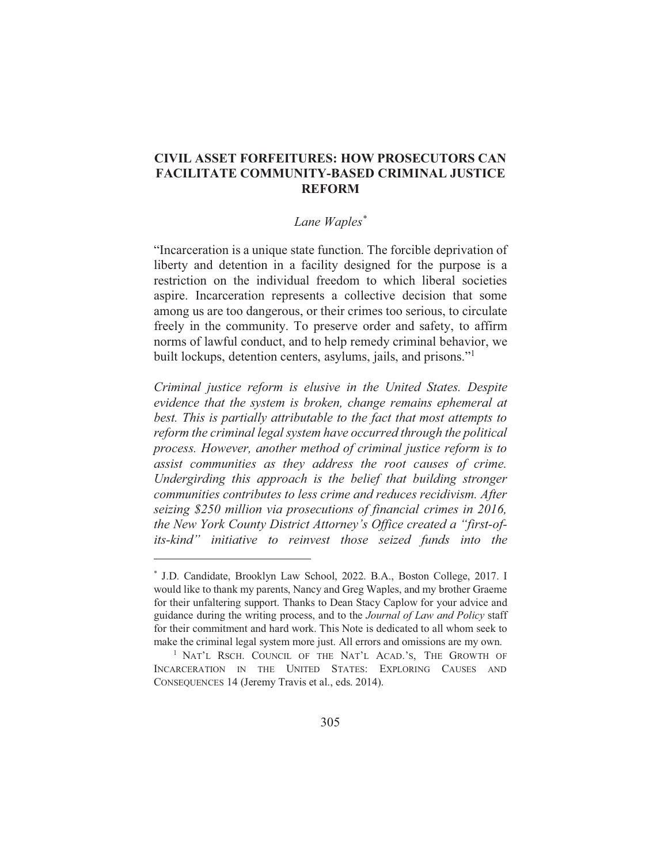# **CIVIL ASSET FORFEITURES: HOW PROSECUTORS CAN FACILITATE COMMUNITY-BASED CRIMINAL JUSTICE REFORM**

### Lane Waples\*

"Incarceration is a unique state function. The forcible deprivation of liberty and detention in a facility designed for the purpose is a restriction on the individual freedom to which liberal societies aspire. Incarceration represents a collective decision that some among us are too dangerous, or their crimes too serious, to circulate freely in the community. To preserve order and safety, to affirm norms of lawful conduct, and to help remedy criminal behavior, we built lockups, detention centers, asylums, jails, and prisons."<sup>1</sup>

Criminal justice reform is elusive in the United States. Despite evidence that the system is broken, change remains ephemeral at best. This is partially attributable to the fact that most attempts to reform the criminal legal system have occurred through the political process. However, another method of criminal justice reform is to assist communities as they address the root causes of crime. Undergirding this approach is the belief that building stronger communities contributes to less crime and reduces recidivism. After seizing \$250 million via prosecutions of financial crimes in 2016, the New York County District Attorney's Office created a "first-ofits-kind" initiative to reinvest those seized funds into the

<sup>\*</sup> J.D. Candidate, Brooklyn Law School, 2022. B.A., Boston College, 2017. I would like to thank my parents, Nancy and Greg Waples, and my brother Graeme for their unfaltering support. Thanks to Dean Stacy Caplow for your advice and guidance during the writing process, and to the *Journal of Law and Policy* staff for their commitment and hard work. This Note is dedicated to all whom seek to make the criminal legal system more just. All errors and omissions are my own.

<sup>&</sup>lt;sup>1</sup> NAT'L RSCH. COUNCIL OF THE NAT'L ACAD.'S. THE GROWTH OF INCARCERATION IN THE UNITED STATES: EXPLORING CAUSES AND CONSEQUENCES 14 (Jeremy Travis et al., eds. 2014).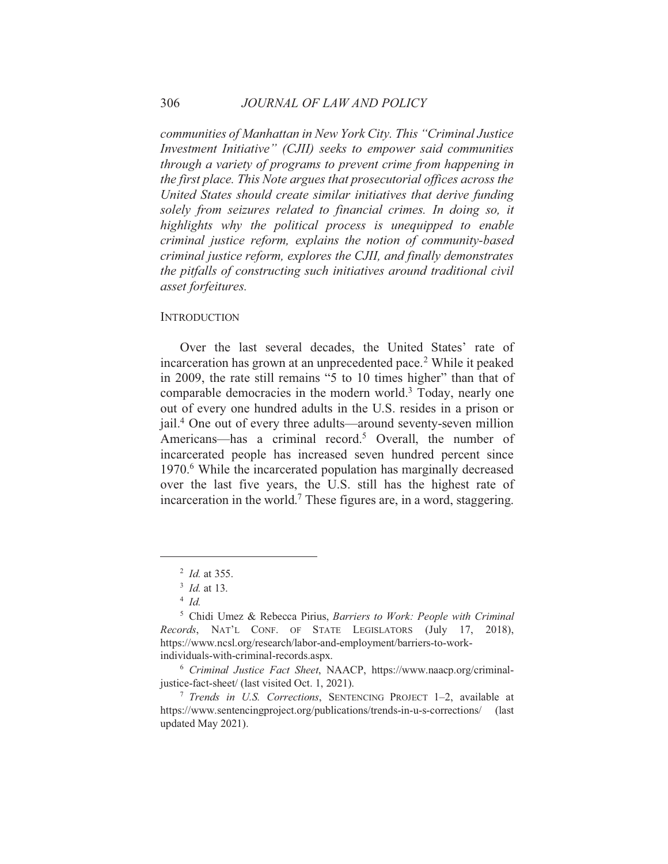communities of Manhattan in New York City. This "Criminal Justice Investment Initiative" (CJII) seeks to empower said communities through a variety of programs to prevent crime from happening in the first place. This Note argues that prosecutorial offices across the United States should create similar initiatives that derive funding solely from seizures related to financial crimes. In doing so, it highlights why the political process is unequipped to enable criminal justice reform, explains the notion of community-based criminal justice reform, explores the CJII, and finally demonstrates the pitfalls of constructing such initiatives around traditional civil asset forfeitures.

#### **INTRODUCTION**

Over the last several decades, the United States' rate of incarceration has grown at an unprecedented pace.<sup>2</sup> While it peaked in 2009, the rate still remains "5 to 10 times higher" than that of comparable democracies in the modern world.<sup>3</sup> Today, nearly one out of every one hundred adults in the U.S. resides in a prison or jail.<sup>4</sup> One out of every three adults—around seventy-seven million Americans—has a criminal record.<sup>5</sup> Overall, the number of incarcerated people has increased seven hundred percent since 1970.<sup>6</sup> While the incarcerated population has marginally decreased over the last five years, the U.S. still has the highest rate of incarceration in the world.<sup>7</sup> These figures are, in a word, staggering.

 $^{2}$  *Id.* at 355.

 $3$  *Id.* at 13.

 $4$  Id.

<sup>&</sup>lt;sup>5</sup> Chidi Umez & Rebecca Pirius, Barriers to Work: People with Criminal Records, NAT'L CONF. OF STATE LEGISLATORS (July 17, 2018), https://www.ncsl.org/research/labor-and-employment/barriers-to-workindividuals-with-criminal-records.aspx.

<sup>&</sup>lt;sup>6</sup> Criminal Justice Fact Sheet, NAACP, https://www.naacp.org/criminaljustice-fact-sheet/ (last visited Oct. 1, 2021).

<sup>&</sup>lt;sup>7</sup> Trends in U.S. Corrections, SENTENCING PROJECT 1-2, available at https://www.sentencingproject.org/publications/trends-in-u-s-corrections/ (last) updated May 2021).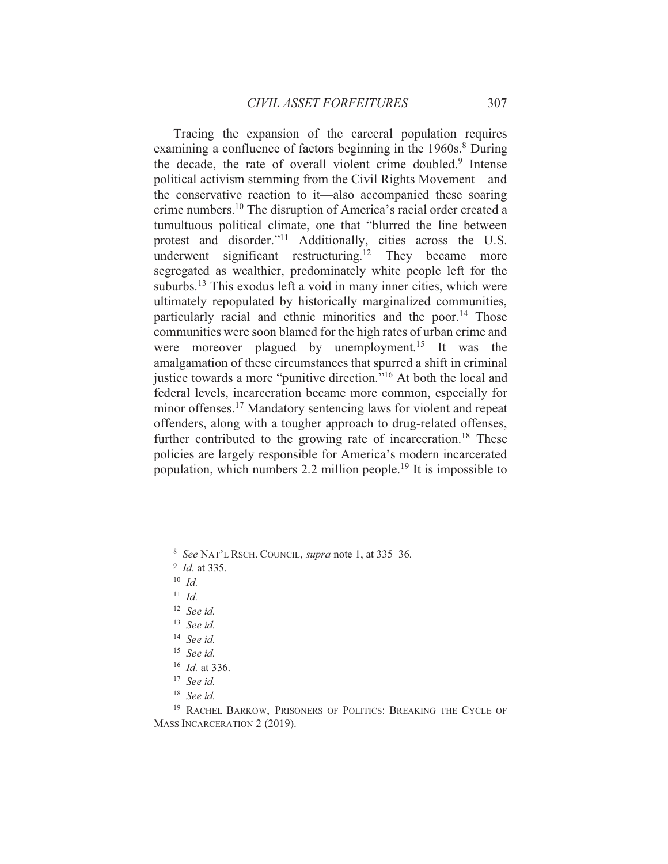Tracing the expansion of the carceral population requires examining a confluence of factors beginning in the 1960s.<sup>8</sup> During the decade, the rate of overall violent crime doubled.<sup>9</sup> Intense political activism stemming from the Civil Rights Movement—and the conservative reaction to it—also accompanied these soaring crime numbers.<sup>10</sup> The disruption of America's racial order created a tumultuous political climate, one that "blurred the line between protest and disorder."<sup>11</sup> Additionally, cities across the U.S. underwent significant restructuring.<sup>12</sup> They became more segregated as wealthier, predominately white people left for the suburbs.<sup>13</sup> This exodus left a void in many inner cities, which were ultimately repopulated by historically marginalized communities, particularly racial and ethnic minorities and the poor.<sup>14</sup> Those communities were soon blamed for the high rates of urban crime and were moreover plagued by unemployment.<sup>15</sup> It was the amalgamation of these circumstances that spurred a shift in criminal justice towards a more "punitive direction."<sup>16</sup> At both the local and federal levels, incarceration became more common, especially for minor offenses.<sup>17</sup> Mandatory sentencing laws for violent and repeat offenders, along with a tougher approach to drug-related offenses, further contributed to the growing rate of incarceration.<sup>18</sup> These policies are largely responsible for America's modern incarcerated population, which numbers 2.2 million people.<sup>19</sup> It is impossible to

- <sup>11</sup> *Id.*
- $12$  See id.
- $13$  See id.
- $14$  See id.
- $15$  See id.
- $16$  *Id.* at 336.
- $17$  See id.
- $18$  See id.

<sup>&</sup>lt;sup>8</sup> See NAT'L RSCH. COUNCIL, *supra* note 1, at 335–36.

 $9$  *Id.* at 335.

 $10$  *Id.* 

<sup>&</sup>lt;sup>19</sup> RACHEL BARKOW, PRISONERS OF POLITICS: BREAKING THE CYCLE OF MASS INCARCERATION 2 (2019).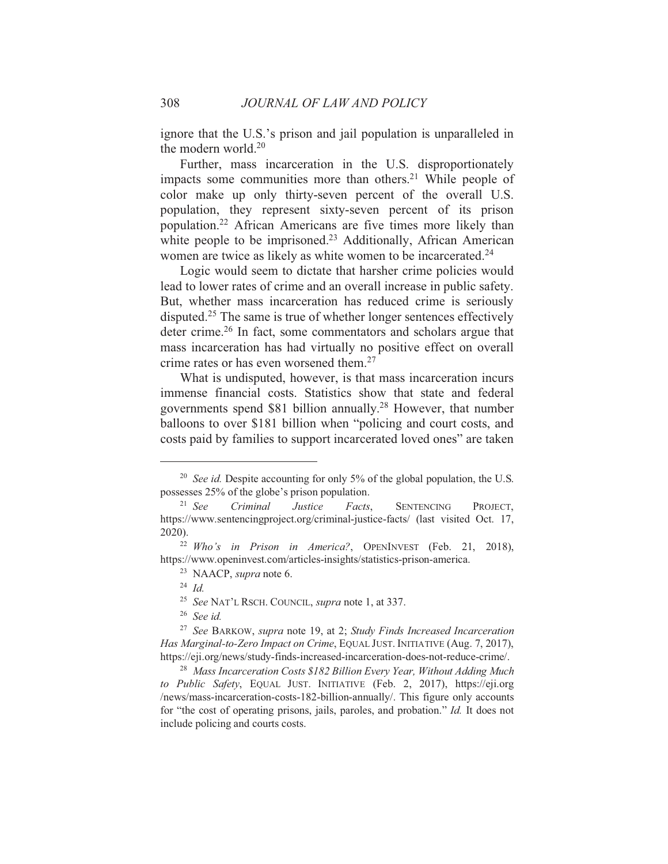ignore that the U.S.'s prison and jail population is unparalleled in the modern world. $20$ 

Further, mass incarceration in the U.S. disproportionately impacts some communities more than others.<sup>21</sup> While people of color make up only thirty-seven percent of the overall U.S. population, they represent sixty-seven percent of its prison population.<sup>22</sup> African Americans are five times more likely than white people to be imprisoned.<sup>23</sup> Additionally, African American women are twice as likely as white women to be incarcerated.<sup>24</sup>

Logic would seem to dictate that harsher crime policies would lead to lower rates of crime and an overall increase in public safety. But, whether mass incarceration has reduced crime is seriously disputed.<sup>25</sup> The same is true of whether longer sentences effectively deter crime.<sup>26</sup> In fact, some commentators and scholars argue that mass incarceration has had virtually no positive effect on overall crime rates or has even worsened them.<sup>27</sup>

What is undisputed, however, is that mass incarceration incurs immense financial costs. Statistics show that state and federal governments spend \$81 billion annually.<sup>28</sup> However, that number balloons to over \$181 billion when "policing and court costs, and costs paid by families to support incarcerated loved ones" are taken

<sup>&</sup>lt;sup>20</sup> See id. Despite accounting for only 5% of the global population, the U.S. possesses 25% of the globe's prison population.

 $21 \text{ See}$ Criminal Justice Facts. **SENTENCING** PROJECT. https://www.sentencingproject.org/criminal-justice-facts/ (last visited Oct. 17,  $2020$ ).

<sup>&</sup>lt;sup>22</sup> Who's in Prison in America?, OPENINVEST (Feb. 21, 2018), https://www.openinvest.com/articles-insights/statistics-prison-america.

<sup>&</sup>lt;sup>23</sup> NAACP, *supra* note 6.

 $24$  Id.

<sup>&</sup>lt;sup>25</sup> See NAT'L RSCH. COUNCIL, *supra* note 1, at 337.

 $26$  See id.

<sup>&</sup>lt;sup>27</sup> See BARKOW, supra note 19, at 2; Study Finds Increased Incarceration Has Marginal-to-Zero Impact on Crime, EQUAL JUST. INITIATIVE (Aug. 7, 2017), https://eji.org/news/study-finds-increased-incarceration-does-not-reduce-crime/.

<sup>&</sup>lt;sup>28</sup> Mass Incarceration Costs \$182 Billion Every Year, Without Adding Much to Public Safety, EQUAL JUST. INITIATIVE (Feb. 2, 2017), https://eji.org /news/mass-incarceration-costs-182-billion-annually/. This figure only accounts for "the cost of operating prisons, jails, paroles, and probation." *Id.* It does not include policing and courts costs.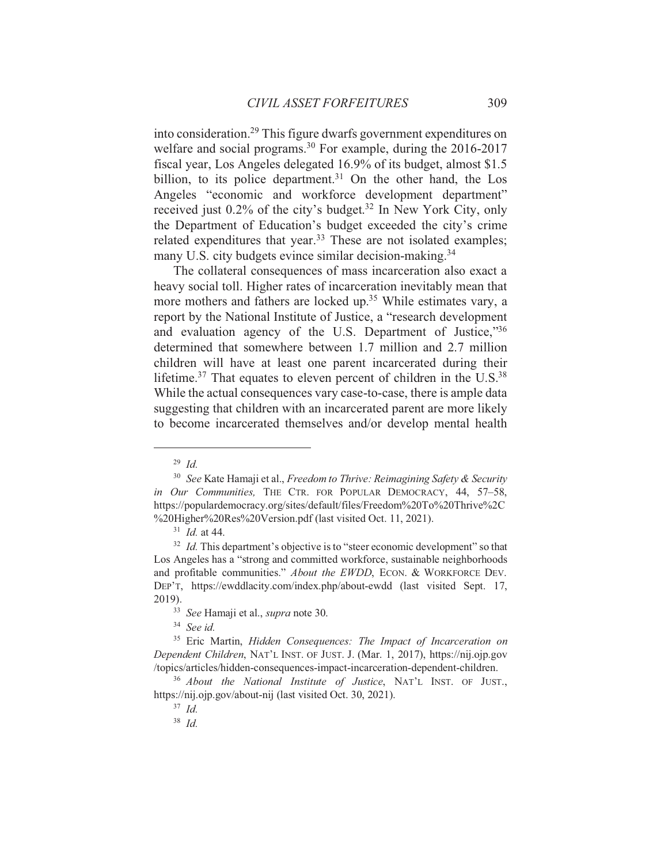into consideration.<sup>29</sup> This figure dwarfs government expenditures on welfare and social programs.<sup>30</sup> For example, during the 2016-2017 fiscal year, Los Angeles delegated 16.9% of its budget, almost \$1.5 billion, to its police department.<sup>31</sup> On the other hand, the Los Angeles "economic and workforce development department" received just 0.2% of the city's budget.<sup>32</sup> In New York City, only the Department of Education's budget exceeded the city's crime related expenditures that year.<sup>33</sup> These are not isolated examples; many U.S. city budgets evince similar decision-making.<sup>34</sup>

The collateral consequences of mass incarceration also exact a heavy social toll. Higher rates of incarceration inevitably mean that more mothers and fathers are locked up.<sup>35</sup> While estimates vary, a report by the National Institute of Justice, a "research development and evaluation agency of the U.S. Department of Justice,"36 determined that somewhere between 1.7 million and 2.7 million children will have at least one parent incarcerated during their lifetime.<sup>37</sup> That equates to eleven percent of children in the U.S.<sup>38</sup> While the actual consequences vary case-to-case, there is ample data suggesting that children with an incarcerated parent are more likely to become incarcerated themselves and/or develop mental health

 $34$  See id.

 $^{29}$  *Id.* 

<sup>&</sup>lt;sup>30</sup> See Kate Hamaji et al., Freedom to Thrive: Reimagining Safety & Security in Our Communities, THE CTR. FOR POPULAR DEMOCRACY, 44, 57-58, https://populardemocracy.org/sites/default/files/Freedom%20To%20Thrive%2C %20Higher%20Res%20Version.pdf (last visited Oct. 11, 2021).

 $31$  *Id.* at 44.

<sup>&</sup>lt;sup>32</sup> *Id.* This department's objective is to "steer economic development" so that Los Angeles has a "strong and committed workforce, sustainable neighborhoods and profitable communities." About the EWDD, ECON. & WORKFORCE DEV. DEP'T, https://ewddlacity.com/index.php/about-ewdd (last visited Sept. 17, 2019).

<sup>&</sup>lt;sup>33</sup> See Hamaji et al., *supra* note 30.

<sup>&</sup>lt;sup>35</sup> Eric Martin, *Hidden Consequences: The Impact of Incarceration on* Dependent Children, NAT'L INST. OF JUST. J. (Mar. 1, 2017), https://nij.ojp.gov /topics/articles/hidden-consequences-impact-incarceration-dependent-children.

<sup>&</sup>lt;sup>36</sup> About the National Institute of Justice, NAT'L INST. OF JUST., https://nij.ojp.gov/about-nij (last visited Oct. 30, 2021).

 $37$  *Id.* 

 $38$  *Id.*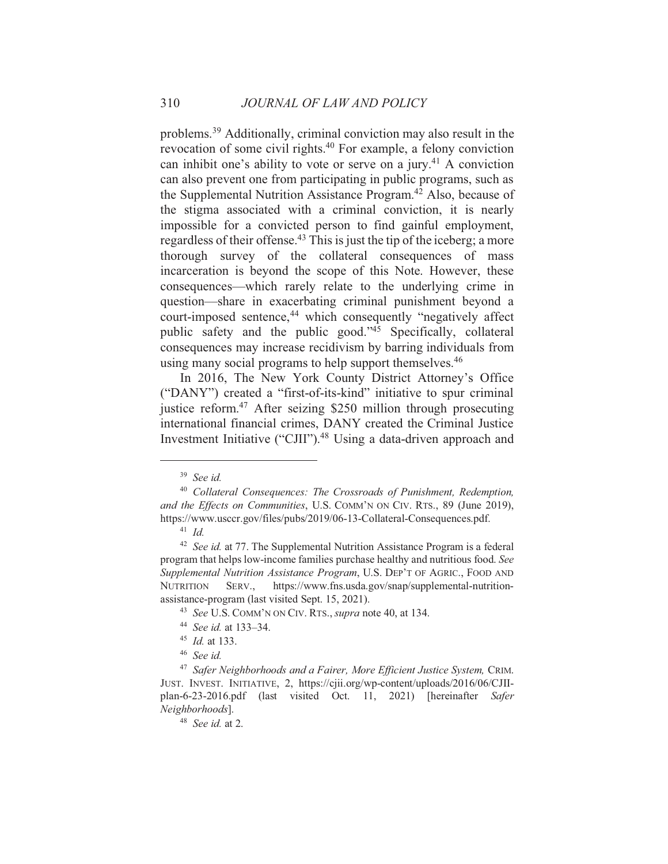problems.<sup>39</sup> Additionally, criminal conviction may also result in the revocation of some civil rights.<sup>40</sup> For example, a felony conviction can inhibit one's ability to vote or serve on a jury.<sup>41</sup> A conviction can also prevent one from participating in public programs, such as the Supplemental Nutrition Assistance Program.<sup>42</sup> Also, because of the stigma associated with a criminal conviction, it is nearly impossible for a convicted person to find gainful employment, regardless of their offense.<sup>43</sup> This is just the tip of the iceberg; a more thorough survey of the collateral consequences of mass incarceration is beyond the scope of this Note. However, these consequences—which rarely relate to the underlying crime in question—share in exacerbating criminal punishment beyond a court-imposed sentence,<sup>44</sup> which consequently "negatively affect public safety and the public good."<sup>45</sup> Specifically, collateral consequences may increase recidivism by barring individuals from using many social programs to help support themselves.<sup>46</sup>

In 2016, The New York County District Attorney's Office ("DANY") created a "first-of-its-kind" initiative to spur criminal justice reform.<sup>47</sup> After seizing \$250 million through prosecuting international financial crimes, DANY created the Criminal Justice Investment Initiative ("CJII").<sup>48</sup> Using a data-driven approach and

 $39$  See id.

<sup>&</sup>lt;sup>40</sup> Collateral Consequences: The Crossroads of Punishment, Redemption, and the Effects on Communities, U.S. COMM'N ON CIV. RTS., 89 (June 2019), https://www.usccr.gov/files/pubs/2019/06-13-Collateral-Consequences.pdf.

 $41$  *Id.* 

<sup>&</sup>lt;sup>42</sup> See id. at 77. The Supplemental Nutrition Assistance Program is a federal program that helps low-income families purchase healthy and nutritious food. See Supplemental Nutrition Assistance Program, U.S. DEP'T OF AGRIC., FOOD AND https://www.fns.usda.gov/snap/supplemental-nutrition-**NUTRITION** SERV. assistance-program (last visited Sept. 15, 2021).

<sup>&</sup>lt;sup>43</sup> See U.S. COMM'N ON CIV. RTS., *supra* note 40, at 134.

<sup>&</sup>lt;sup>44</sup> See id. at 133-34.

 $45$  *Id.* at 133.

<sup>&</sup>lt;sup>46</sup> See id.

<sup>&</sup>lt;sup>47</sup> Safer Neighborhoods and a Fairer, More Efficient Justice System, CRIM. JUST. INVEST. INITIATIVE, 2, https://cjii.org/wp-content/uploads/2016/06/CJIIplan-6-23-2016.pdf (last visited Oct. 11, 2021) [hereinafter Safer Neighborhoods].

 $48$  See id. at 2.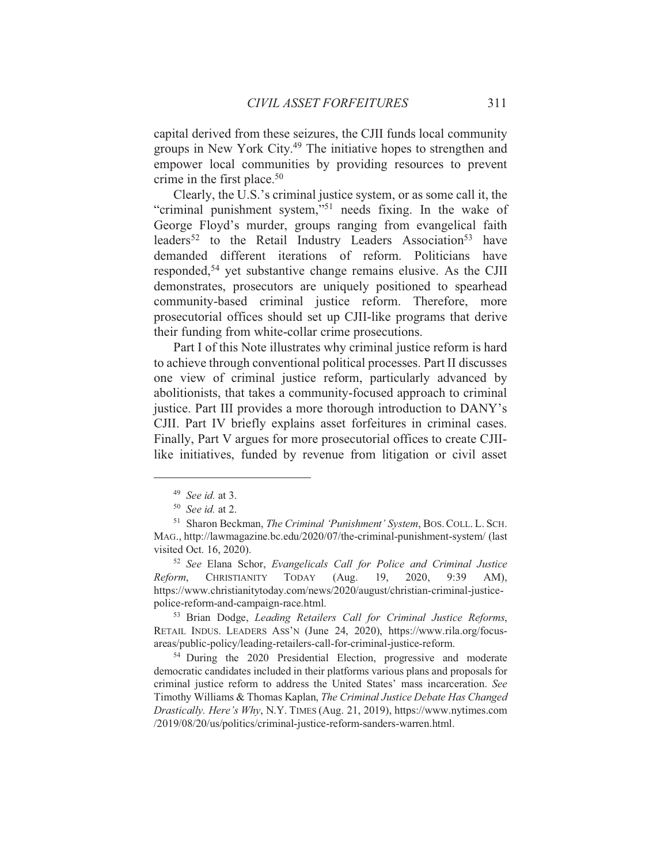capital derived from these seizures, the CJII funds local community groups in New York City.<sup>49</sup> The initiative hopes to strengthen and empower local communities by providing resources to prevent crime in the first place.<sup>50</sup>

Clearly, the U.S.'s criminal justice system, or as some call it, the "criminal punishment system,"<sup>51</sup> needs fixing. In the wake of George Floyd's murder, groups ranging from evangelical faith leaders<sup>52</sup> to the Retail Industry Leaders Association<sup>53</sup> have demanded different iterations of reform. Politicians have responded,<sup>54</sup> yet substantive change remains elusive. As the CJII demonstrates, prosecutors are uniquely positioned to spearhead community-based criminal justice reform. Therefore, more prosecutorial offices should set up CJII-like programs that derive their funding from white-collar crime prosecutions.

Part I of this Note illustrates why criminal justice reform is hard to achieve through conventional political processes. Part II discusses one view of criminal justice reform, particularly advanced by abolitionists, that takes a community-focused approach to criminal justice. Part III provides a more thorough introduction to DANY's CJII. Part IV briefly explains asset forfeitures in criminal cases. Finally, Part V argues for more prosecutorial offices to create CJIIlike initiatives, funded by revenue from litigation or civil asset

<sup>52</sup> See Elana Schor, Evangelicals Call for Police and Criminal Justice **CHRISTIANITY TODAY**  $(Aug.$ 19, 2020, Reform, 9:39  $AM$ ), https://www.christianitytoday.com/news/2020/august/christian-criminal-justicepolice-reform-and-campaign-race.html.

<sup>53</sup> Brian Dodge, Leading Retailers Call for Criminal Justice Reforms, RETAIL INDUS. LEADERS ASS'N (June 24, 2020), https://www.rila.org/focusareas/public-policy/leading-retailers-call-for-criminal-justice-reform.

<sup>54</sup> During the 2020 Presidential Election, progressive and moderate democratic candidates included in their platforms various plans and proposals for criminal justice reform to address the United States' mass incarceration. See Timothy Williams & Thomas Kaplan, The Criminal Justice Debate Has Changed Drastically. Here's Why, N.Y. TIMES (Aug. 21, 2019), https://www.nytimes.com /2019/08/20/us/politics/criminal-justice-reform-sanders-warren.html.

 $49$  See id. at 3.

 $50$  See id. at 2.

<sup>&</sup>lt;sup>51</sup> Sharon Beckman, *The Criminal 'Punishment' System*, BOS. COLL. L. SCH. MAG., http://lawmagazine.bc.edu/2020/07/the-criminal-punishment-system/ (last visited Oct. 16, 2020).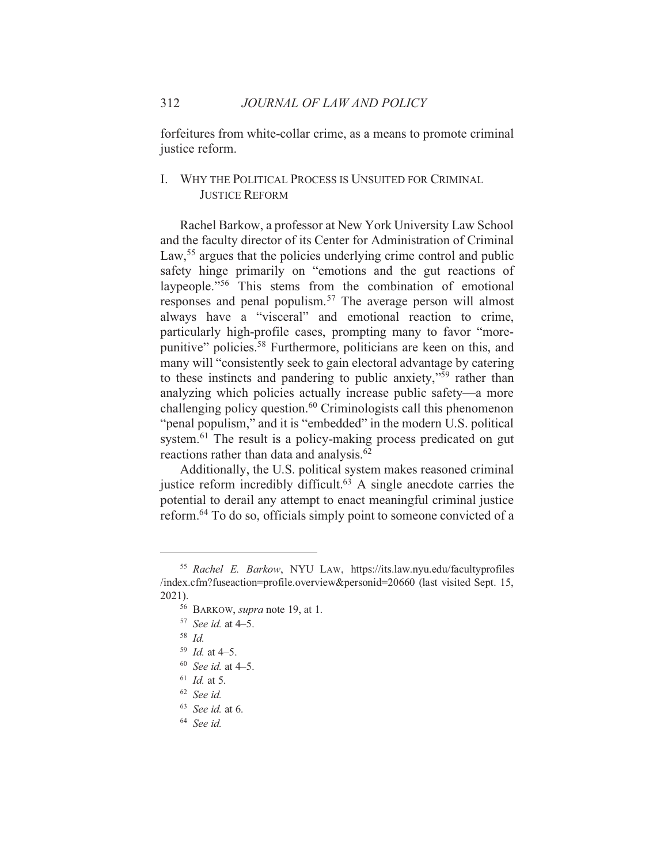forfeitures from white-collar crime, as a means to promote criminal justice reform.

# I. WHY THE POLITICAL PROCESS IS UNSUITED FOR CRIMINAL **JUSTICE REFORM**

Rachel Barkow, a professor at New York University Law School and the faculty director of its Center for Administration of Criminal Law,<sup>55</sup> argues that the policies underlying crime control and public safety hinge primarily on "emotions and the gut reactions of laypeople."<sup>56</sup> This stems from the combination of emotional responses and penal populism.<sup>57</sup> The average person will almost always have a "visceral" and emotional reaction to crime, particularly high-profile cases, prompting many to favor "morepunitive" policies.<sup>58</sup> Furthermore, politicians are keen on this, and many will "consistently seek to gain electoral advantage by catering to these instincts and pandering to public anxiety,"<sup>59</sup> rather than analyzing which policies actually increase public safety—a more challenging policy question.<sup>60</sup> Criminologists call this phenomenon "penal populism," and it is "embedded" in the modern U.S. political system.<sup>61</sup> The result is a policy-making process predicated on gut reactions rather than data and analysis.<sup>62</sup>

Additionally, the U.S. political system makes reasoned criminal justice reform incredibly difficult.<sup>63</sup> A single anecdote carries the potential to derail any attempt to enact meaningful criminal justice reform.<sup>64</sup> To do so, officials simply point to someone convicted of a

<sup>&</sup>lt;sup>55</sup> Rachel E. Barkow, NYU LAW, https://its.law.nyu.edu/facultyprofiles /index.cfm?fuseaction=profile.overview&personid=20660 (last visited Sept. 15,  $2021$ ).

<sup>&</sup>lt;sup>56</sup> BARKOW, *supra* note 19, at 1.

 $57$  See id. at 4-5.

 $58$  *Id* 

 $159$  *Id.* at 4-5.

 $60$  See id. at 4-5.

 $^{61}$  *Id.* at 5.

 $62$  See id.

 $63$  See id. at 6.

 $64$  See id.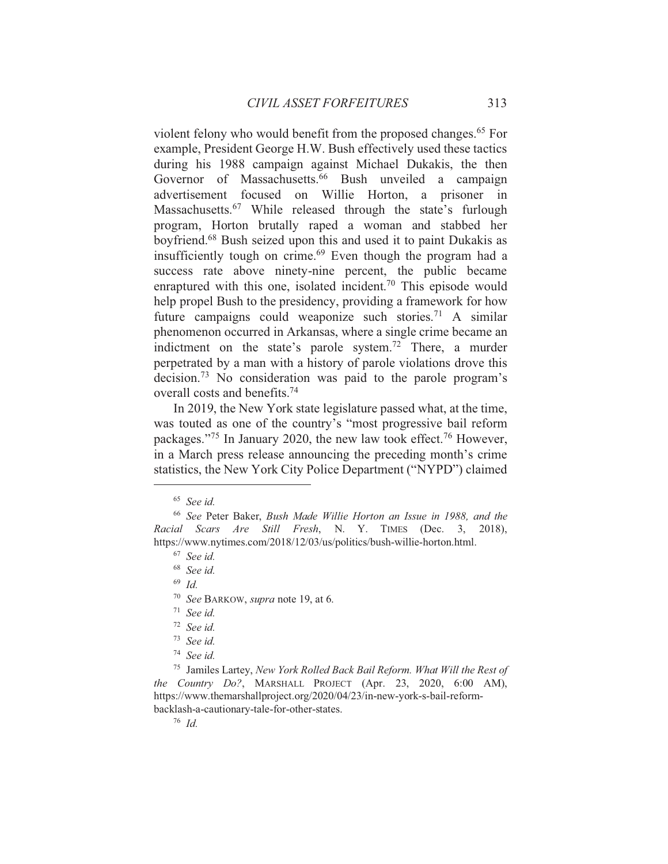violent felony who would benefit from the proposed changes.<sup>65</sup> For example, President George H.W. Bush effectively used these tactics during his 1988 campaign against Michael Dukakis, the then Governor of Massachusetts.<sup>66</sup> Bush unveiled a campaign advertisement focused on Willie Horton, a prisoner in Massachusetts.<sup>67</sup> While released through the state's furlough program, Horton brutally raped a woman and stabbed her boyfriend.<sup>68</sup> Bush seized upon this and used it to paint Dukakis as insufficiently tough on crime.<sup>69</sup> Even though the program had a success rate above ninety-nine percent, the public became enraptured with this one, isolated incident.<sup>70</sup> This episode would help propel Bush to the presidency, providing a framework for how future campaigns could weaponize such stories.<sup>71</sup> A similar phenomenon occurred in Arkansas, where a single crime became an indictment on the state's parole system.<sup>72</sup> There, a murder perpetrated by a man with a history of parole violations drove this decision.<sup>73</sup> No consideration was paid to the parole program's overall costs and benefits.<sup>74</sup>

In 2019, the New York state legislature passed what, at the time, was touted as one of the country's "most progressive bail reform" packages."<sup>75</sup> In January 2020, the new law took effect.<sup>76</sup> However, in a March press release announcing the preceding month's crime statistics, the New York City Police Department ("NYPD") claimed

 $69$  Id.

<sup>75</sup> Jamiles Lartey, New York Rolled Back Bail Reform. What Will the Rest of the Country Do?, MARSHALL PROJECT (Apr. 23, 2020, 6:00 AM), https://www.themarshallproject.org/2020/04/23/in-new-york-s-bail-reformbacklash-a-cautionary-tale-for-other-states.

 $76$  Id

 $65$  See id.

<sup>&</sup>lt;sup>66</sup> See Peter Baker, Bush Made Willie Horton an Issue in 1988, and the Racial Scars Are Still Fresh, N. Y. TIMES (Dec. 3, 2018), https://www.nytimes.com/2018/12/03/us/politics/bush-willie-horton.html.

 $67$  See id.

 $68$  See id.

<sup>&</sup>lt;sup>70</sup> See BARKOW, *supra* note 19, at 6.

 $71$  See id.

 $72$  See id.

 $73$  See id.

<sup>74</sup> See id.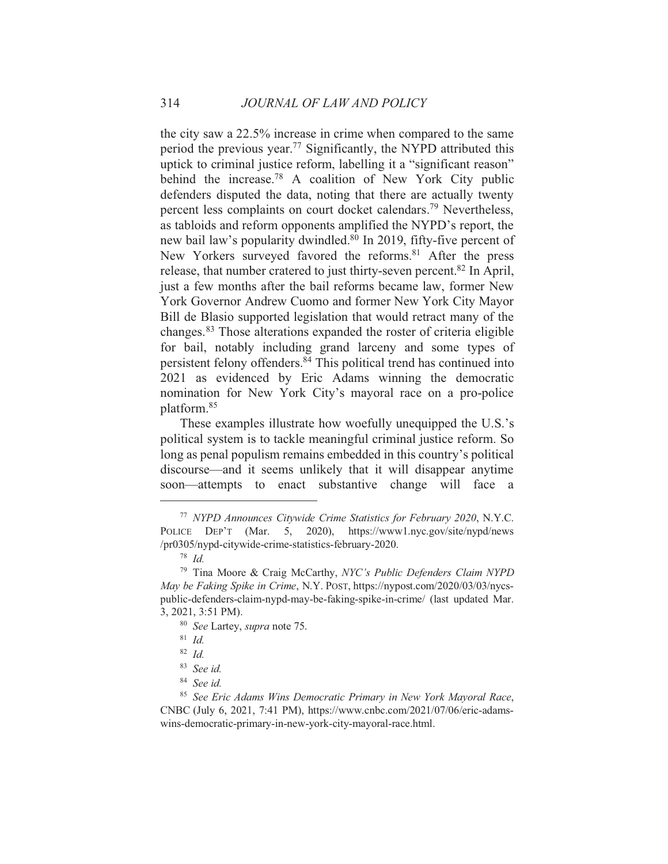the city saw a 22.5% increase in crime when compared to the same period the previous year.<sup>77</sup> Significantly, the NYPD attributed this uptick to criminal justice reform, labelling it a "significant reason" behind the increase.<sup>78</sup> A coalition of New York City public defenders disputed the data, noting that there are actually twenty percent less complaints on court docket calendars.<sup>79</sup> Nevertheless, as tabloids and reform opponents amplified the NYPD's report, the new bail law's popularity dwindled.<sup>80</sup> In 2019, fifty-five percent of New Yorkers surveyed favored the reforms.<sup>81</sup> After the press release, that number cratered to just thirty-seven percent.<sup>82</sup> In April, just a few months after the bail reforms became law, former New York Governor Andrew Cuomo and former New York City Mayor Bill de Blasio supported legislation that would retract many of the changes.<sup>83</sup> Those alterations expanded the roster of criteria eligible for bail, notably including grand larceny and some types of persistent felony offenders.<sup>84</sup> This political trend has continued into 2021 as evidenced by Eric Adams winning the democratic nomination for New York City's mayoral race on a pro-police platform.<sup>85</sup>

These examples illustrate how woefully unequipped the U.S.'s political system is to tackle meaningful criminal justice reform. So long as penal populism remains embedded in this country's political discourse—and it seems unlikely that it will disappear anytime soon—attempts to enact substantive change will face <sub>a</sub>

<sup>&</sup>lt;sup>77</sup> NYPD Announces Citywide Crime Statistics for February 2020, N.Y.C. POLICE DEP'T (Mar. 5, 2020), https://www1.nyc.gov/site/nypd/news /pr0305/nypd-citywide-crime-statistics-february-2020.

 $78$  *Id.* 

<sup>&</sup>lt;sup>79</sup> Tina Moore & Craig McCarthy, NYC's Public Defenders Claim NYPD May be Faking Spike in Crime, N.Y. POST, https://nypost.com/2020/03/03/nycspublic-defenders-claim-nypd-may-be-faking-spike-in-crime/ (last updated Mar. 3, 2021, 3:51 PM).

<sup>&</sup>lt;sup>80</sup> See Lartey, *supra* note 75.

 $81$  *Id.* 

 $82$  *Id.* 

<sup>&</sup>lt;sup>83</sup> See id.

<sup>&</sup>lt;sup>84</sup> See id.

<sup>&</sup>lt;sup>85</sup> See Eric Adams Wins Democratic Primary in New York Mayoral Race, CNBC (July 6, 2021, 7:41 PM), https://www.cnbc.com/2021/07/06/eric-adamswins-democratic-primary-in-new-york-city-mayoral-race.html.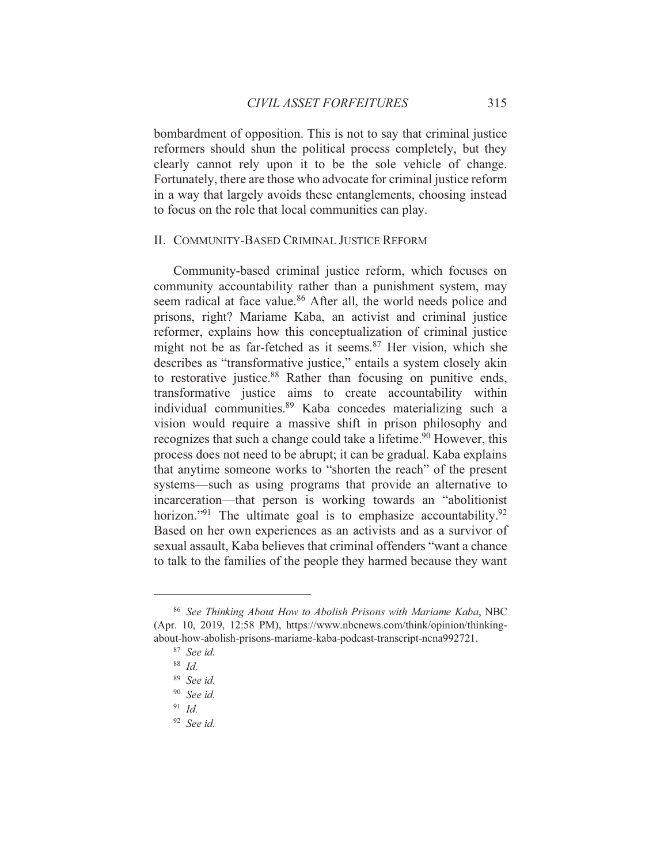bombardment of opposition. This is not to say that criminal justice reformers should shun the political process completely, but they clearly cannot rely upon it to be the sole vehicle of change. Fortunately, there are those who advocate for criminal justice reform in a way that largely avoids these entanglements, choosing instead to focus on the role that local communities can play.

#### II. COMMUNITY-BASED CRIMINAL JUSTICE REFORM

Community-based criminal justice reform, which focuses on community accountability rather than a punishment system, may seem radical at face value.<sup>86</sup> After all, the world needs police and prisons, right? Mariame Kaba, an activist and criminal justice reformer, explains how this conceptualization of criminal justice might not be as far-fetched as it seems.<sup>87</sup> Her vision, which she describes as "transformative justice," entails a system closely akin to restorative justice.<sup>88</sup> Rather than focusing on punitive ends. transformative justice aims to create accountability within individual communities.<sup>89</sup> Kaba concedes materializing such a vision would require a massive shift in prison philosophy and recognizes that such a change could take a lifetime.<sup>90</sup> However, this process does not need to be abrupt; it can be gradual. Kaba explains that anytime someone works to "shorten the reach" of the present systems—such as using programs that provide an alternative to incarceration—that person is working towards an "abolitionist" horizon."<sup>91</sup> The ultimate goal is to emphasize accountability.<sup>92</sup> Based on her own experiences as an activists and as a survivor of sexual assault, Kaba believes that criminal offenders "want a chance to talk to the families of the people they harmed because they want

<sup>&</sup>lt;sup>86</sup> See Thinking About How to Abolish Prisons with Mariame Kaba, NBC (Apr. 10, 2019, 12:58 PM), https://www.nbcnews.com/think/opinion/thinkingabout-how-abolish-prisons-mariame-kaba-podcast-transcript-ncna992721.

 $87$  See id.

 $88$  Id.

 $89$  See id.

 $90$  See id.

 $91$  Id.

 $92$  See id.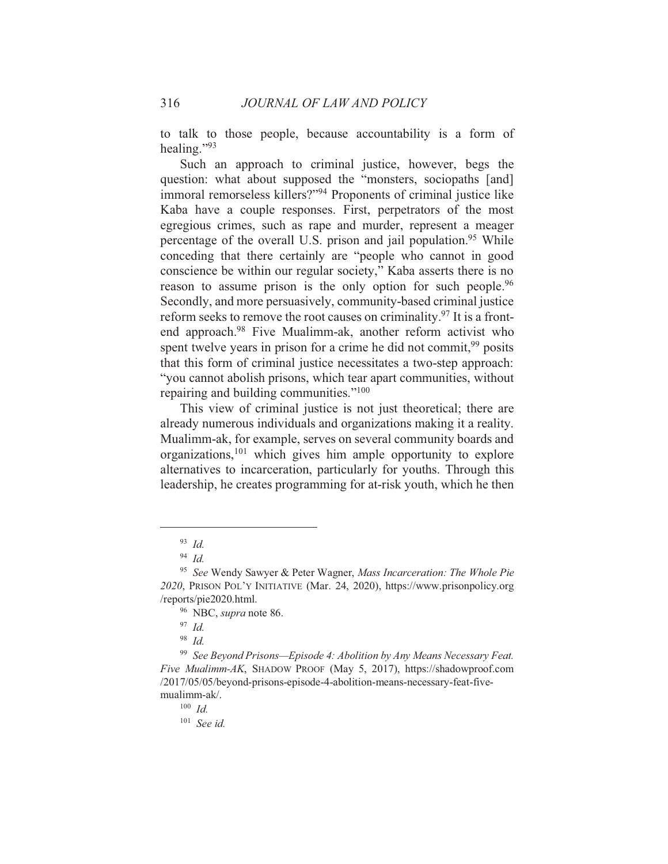to talk to those people, because accountability is a form of healing." $^{93}$ 

Such an approach to criminal justice, however, begs the question: what about supposed the "monsters, sociopaths [and] immoral remorseless killers?"<sup>94</sup> Proponents of criminal justice like Kaba have a couple responses. First, perpetrators of the most egregious crimes, such as rape and murder, represent a meager percentage of the overall U.S. prison and jail population.<sup>95</sup> While conceding that there certainly are "people who cannot in good conscience be within our regular society," Kaba asserts there is no reason to assume prison is the only option for such people.<sup>96</sup> Secondly, and more persuasively, community-based criminal justice reform seeks to remove the root causes on criminality.<sup>97</sup> It is a frontend approach.<sup>98</sup> Five Mualimm-ak, another reform activist who spent twelve years in prison for a crime he did not commit,<sup>99</sup> posits that this form of criminal justice necessitates a two-step approach: "you cannot abolish prisons, which tear apart communities, without repairing and building communities."<sup>100</sup>

This view of criminal justice is not just theoretical; there are already numerous individuals and organizations making it a reality. Mualimm-ak, for example, serves on several community boards and organizations,  $101$  which gives him ample opportunity to explore alternatives to incarceration, particularly for youths. Through this leadership, he creates programming for at-risk youth, which he then

<sup>99</sup> See Beyond Prisons—Episode 4: Abolition by Any Means Necessary Feat. Five Mualimm-AK, SHADOW PROOF (May 5, 2017), https://shadowproof.com /2017/05/05/beyond-prisons-episode-4-abolition-means-necessary-feat-fivemualimm-ak/.

 $93$  Id.

 $94$  *Id.* 

<sup>&</sup>lt;sup>95</sup> See Wendy Sawyer & Peter Wagner, Mass Incarceration: The Whole Pie 2020, PRISON POL'Y INITIATIVE (Mar. 24, 2020), https://www.prisonpolicy.org /reports/pie2020.html.

<sup>&</sup>lt;sup>96</sup> NBC, *supra* note 86.

 $97$  Id.

 $98$  Id.

 $100$  *Id.* 

 $101$  See id.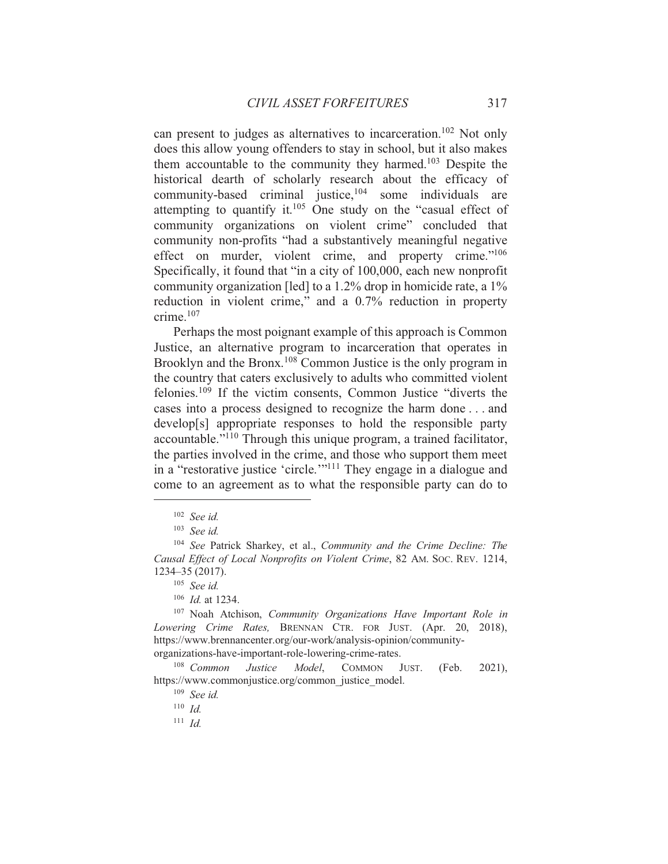can present to judges as alternatives to incarceration.<sup>102</sup> Not only does this allow young offenders to stay in school, but it also makes them accountable to the community they harmed.<sup>103</sup> Despite the historical dearth of scholarly research about the efficacy of community-based criminal justice,<sup>104</sup> some individuals are attempting to quantify it.<sup>105</sup> One study on the "casual effect of community organizations on violent crime" concluded that community non-profits "had a substantively meaningful negative effect on murder, violent crime, and property crime."<sup>106</sup> Specifically, it found that "in a city of 100,000, each new nonprofit community organization [led] to a 1.2% drop in homicide rate, a 1% reduction in violent crime," and a 0.7% reduction in property crime. $107$ 

Perhaps the most poignant example of this approach is Common Justice, an alternative program to incarceration that operates in Brooklyn and the Bronx.<sup>108</sup> Common Justice is the only program in the country that caters exclusively to adults who committed violent felonies.<sup>109</sup> If the victim consents, Common Justice "diverts the cases into a process designed to recognize the harm done . . . and develop[s] appropriate responses to hold the responsible party accountable."<sup>110</sup> Through this unique program, a trained facilitator, the parties involved in the crime, and those who support them meet in a "restorative justice 'circle."<sup>11</sup> They engage in a dialogue and come to an agreement as to what the responsible party can do to

<sup>111</sup>  $Id$ 

 $102$  See id.

 $103$  See id.

<sup>&</sup>lt;sup>104</sup> See Patrick Sharkey, et al., Community and the Crime Decline: The Causal Effect of Local Nonprofits on Violent Crime, 82 AM. Soc. REV. 1214, 1234-35 (2017).

 $105$  See id.

 $106$  *Id.* at 1234.

<sup>&</sup>lt;sup>107</sup> Noah Atchison, Community Organizations Have Important Role in Lowering Crime Rates, BRENNAN CTR. FOR JUST. (Apr. 20, 2018), https://www.brennancenter.org/our-work/analysis-opinion/communityorganizations-have-important-role-lowering-crime-rates.

 $108$  Common Justice **COMMON** Model, JUST. (Feb.  $2021$ ), https://www.commonjustice.org/common justice model.

 $109$  See id.

 $110$  *Id.*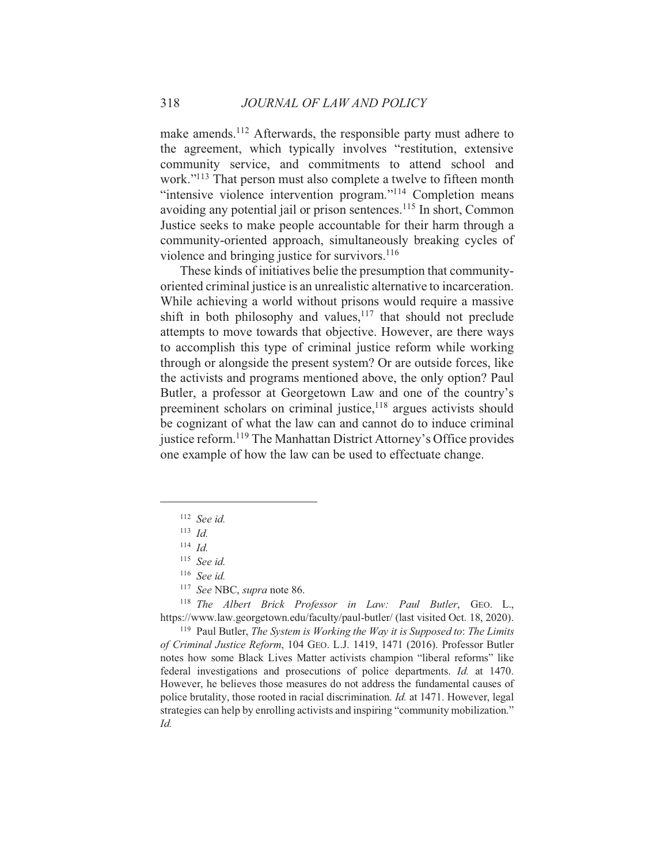make amends.<sup>112</sup> Afterwards, the responsible party must adhere to the agreement, which typically involves "restitution, extensive community service, and commitments to attend school and work."<sup>113</sup> That person must also complete a twelve to fifteen month "intensive violence intervention program."<sup>114</sup> Completion means avoiding any potential jail or prison sentences.<sup>115</sup> In short, Common Justice seeks to make people accountable for their harm through a community-oriented approach, simultaneously breaking cycles of violence and bringing justice for survivors.<sup>116</sup>

These kinds of initiatives belie the presumption that communityoriented criminal justice is an unrealistic alternative to incarceration. While achieving a world without prisons would require a massive shift in both philosophy and values,<sup>117</sup> that should not preclude attempts to move towards that objective. However, are there ways to accomplish this type of criminal justice reform while working through or alongside the present system? Or are outside forces, like the activists and programs mentioned above, the only option? Paul Butler, a professor at Georgetown Law and one of the country's preeminent scholars on criminal justice,<sup>118</sup> argues activists should be cognizant of what the law can and cannot do to induce criminal justice reform.<sup>119</sup> The Manhattan District Attorney's Office provides one example of how the law can be used to effectuate change.

<sup>118</sup> The Albert Brick Professor in Law: Paul Butler, GEO. L., https://www.law.georgetown.edu/faculty/paul-butler/ (last visited Oct. 18, 2020).

 $119$  Paul Butler, The System is Working the Way it is Supposed to: The Limits of Criminal Justice Reform, 104 GEO. L.J. 1419, 1471 (2016). Professor Butler notes how some Black Lives Matter activists champion "liberal reforms" like federal investigations and prosecutions of police departments. *Id.* at 1470. However, he believes those measures do not address the fundamental causes of police brutality, those rooted in racial discrimination. *Id.* at 1471. However, legal strategies can help by enrolling activists and inspiring "community mobilization." Id.

<sup>&</sup>lt;sup>112</sup> See id.

 $113$  *Id.* 

 $114$  *Id.* 

 $115$  See id.

 $116$  See id.

<sup>&</sup>lt;sup>117</sup> See NBC, supra note 86.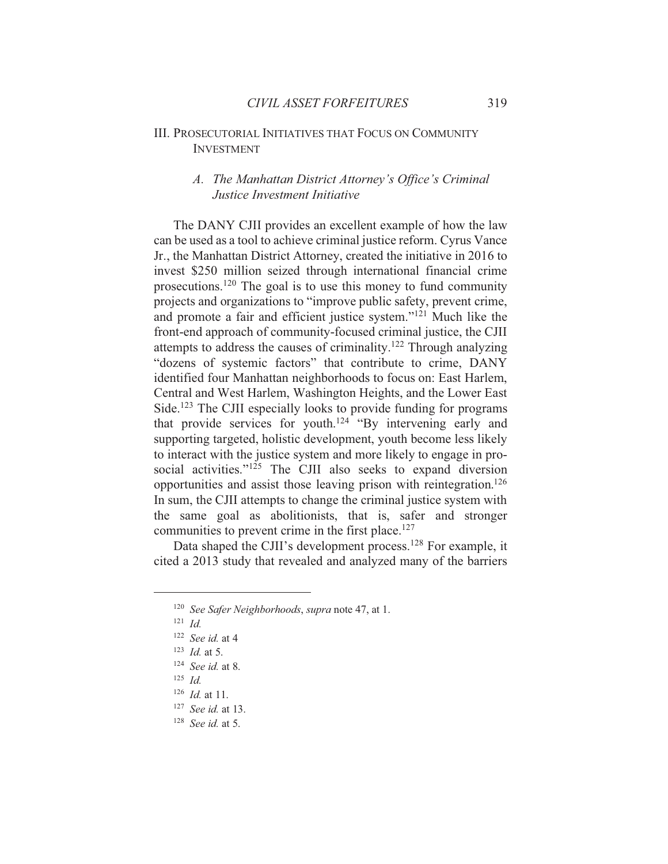## **III. PROSECUTORIAL INITIATIVES THAT FOCUS ON COMMUNITY INVESTMENT**

## A. The Manhattan District Attorney's Office's Criminal Justice Investment Initiative

The DANY CJII provides an excellent example of how the law can be used as a tool to achieve criminal justice reform. Cyrus Vance Jr., the Manhattan District Attorney, created the initiative in 2016 to invest \$250 million seized through international financial crime prosecutions.<sup>120</sup> The goal is to use this money to fund community projects and organizations to "improve public safety, prevent crime, and promote a fair and efficient justice system."<sup>121</sup> Much like the front-end approach of community-focused criminal justice, the CJII attempts to address the causes of criminality.<sup>122</sup> Through analyzing "dozens of systemic factors" that contribute to crime, DANY identified four Manhattan neighborhoods to focus on: East Harlem, Central and West Harlem, Washington Heights, and the Lower East Side.<sup>123</sup> The CJII especially looks to provide funding for programs that provide services for youth.<sup>124</sup> "By intervening early and supporting targeted, holistic development, youth become less likely to interact with the justice system and more likely to engage in prosocial activities."<sup>125</sup> The CJII also seeks to expand diversion opportunities and assist those leaving prison with reintegration.<sup>126</sup> In sum, the CJII attempts to change the criminal justice system with the same goal as abolitionists, that is, safer and stronger communities to prevent crime in the first place.<sup>127</sup>

Data shaped the CJII's development process.<sup>128</sup> For example, it cited a 2013 study that revealed and analyzed many of the barriers

<sup>&</sup>lt;sup>120</sup> See Safer Neighborhoods, supra note 47, at 1.

 $121$  *Id.* 

 $122$  See id. at 4

 $123$  *Id.* at 5.

 $124$  *See id.* at 8.

 $125$  *Id.* 

 $126$  *Id.* at 11.

 $127$  *See id.* at 13.

 $128$  *See id.* at 5.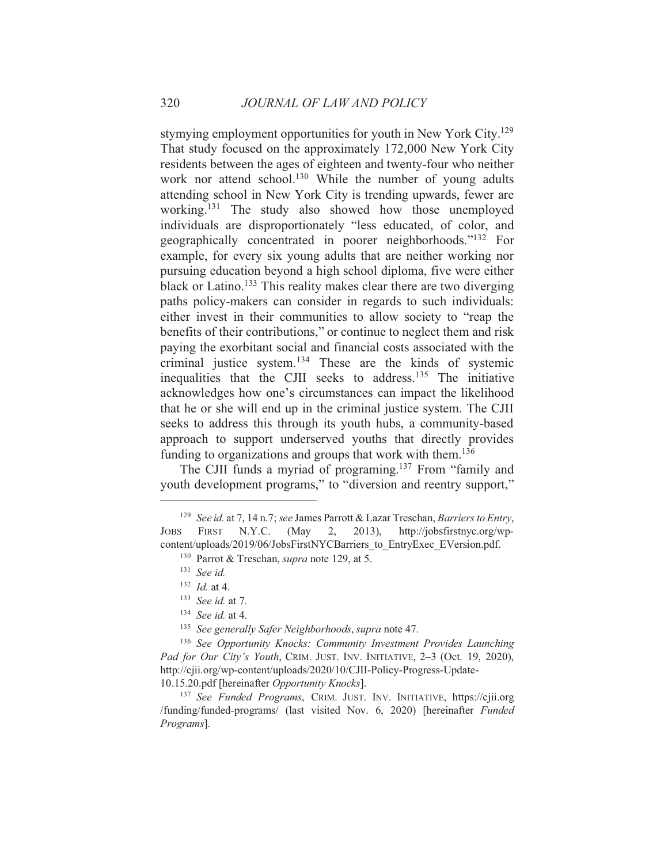stymying employment opportunities for youth in New York City.<sup>129</sup> That study focused on the approximately 172,000 New York City residents between the ages of eighteen and twenty-four who neither work nor attend school.<sup>130</sup> While the number of young adults attending school in New York City is trending upwards, fewer are working.<sup>131</sup> The study also showed how those unemployed individuals are disproportionately "less educated, of color, and geographically concentrated in poorer neighborhoods."<sup>132</sup> For example, for every six young adults that are neither working nor pursuing education beyond a high school diploma, five were either black or Latino.<sup>133</sup> This reality makes clear there are two diverging paths policy-makers can consider in regards to such individuals: either invest in their communities to allow society to "reap the benefits of their contributions," or continue to neglect them and risk paying the exorbitant social and financial costs associated with the criminal justice system.<sup>134</sup> These are the kinds of systemic inequalities that the CJII seeks to address.<sup>135</sup> The initiative acknowledges how one's circumstances can impact the likelihood that he or she will end up in the criminal justice system. The CJII seeks to address this through its youth hubs, a community-based approach to support underserved youths that directly provides funding to organizations and groups that work with them.<sup>136</sup>

The CJII funds a myriad of programing.<sup>137</sup> From "family and youth development programs," to "diversion and reentry support,"

 $134$  See id. at 4.

<sup>137</sup> See Funded Programs, CRIM. JUST. INV. INITIATIVE, https://cjii.org /funding/funded-programs/ (last visited Nov. 6, 2020) [hereinafter *Funded* Programs].

<sup>&</sup>lt;sup>129</sup> See id. at 7, 14 n.7; see James Parrott & Lazar Treschan, Barriers to Entry, JOBS FIRST  $N.Y.C.$ (May 2,  $2013$ ), http://jobsfirstnyc.org/wpcontent/uploads/2019/06/JobsFirstNYCBarriers to EntryExec EVersion.pdf.

<sup>&</sup>lt;sup>130</sup> Parrot & Treschan, *supra* note 129, at 5.

 $131$  See id.

 $132$  *Id.* at 4.

 $133$  See id. at 7.

<sup>&</sup>lt;sup>135</sup> See generally Safer Neighborhoods, supra note 47.

<sup>&</sup>lt;sup>136</sup> See Opportunity Knocks: Community Investment Provides Launching Pad for Our City's Youth, CRIM. JUST. INV. INITIATIVE, 2-3 (Oct. 19, 2020), http://cjii.org/wp-content/uploads/2020/10/CJII-Policy-Progress-Update-10.15.20.pdf [hereinafter Opportunity Knocks].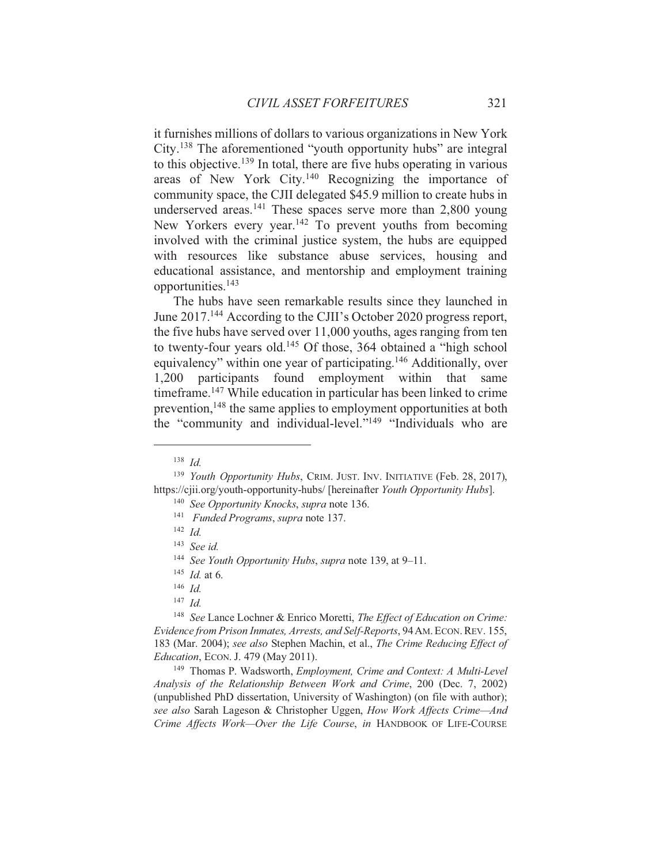it furnishes millions of dollars to various organizations in New York City.<sup>138</sup> The aforementioned "youth opportunity hubs" are integral to this objective.<sup>139</sup> In total, there are five hubs operating in various areas of New York City.<sup>140</sup> Recognizing the importance of community space, the CJII delegated \$45.9 million to create hubs in underserved areas.<sup>141</sup> These spaces serve more than  $2,800$  young New Yorkers every year.<sup>142</sup> To prevent youths from becoming involved with the criminal justice system, the hubs are equipped with resources like substance abuse services, housing and educational assistance, and mentorship and employment training opportunities.<sup>143</sup>

The hubs have seen remarkable results since they launched in June 2017.<sup>144</sup> According to the CJII's October 2020 progress report, the five hubs have served over 11,000 youths, ages ranging from ten to twenty-four years old.<sup>145</sup> Of those, 364 obtained a "high school" equivalency" within one year of participating.<sup>146</sup> Additionally, over 1,200 participants found employment within that same timeframe.<sup>147</sup> While education in particular has been linked to crime prevention.<sup>148</sup> the same applies to employment opportunities at both the "community and individual-level."<sup>149</sup> "Individuals who are

 $138$  *Id.* 

<sup>&</sup>lt;sup>139</sup> Youth Opportunity Hubs, CRIM. JUST. INV. INITIATIVE (Feb. 28, 2017). https://cjii.org/youth-opportunity-hubs/ [hereinafter Youth Opportunity Hubs].

<sup>&</sup>lt;sup>140</sup> See Opportunity Knocks, supra note 136.

<sup>&</sup>lt;sup>141</sup> Funded Programs, supra note 137.

 $142$  *Id.* 

 $143$  See id.

<sup>&</sup>lt;sup>144</sup> See Youth Opportunity Hubs, supra note 139, at 9-11.

 $145$  *Id.* at 6.

 $146$  *Id.* 

 $147$  *Id.* 

<sup>&</sup>lt;sup>148</sup> See Lance Lochner & Enrico Moretti, The Effect of Education on Crime: Evidence from Prison Inmates, Arrests, and Self-Reports, 94 AM. ECON. REV. 155, 183 (Mar. 2004); see also Stephen Machin, et al., The Crime Reducing Effect of *Education*, *ECON. J.* 479 (May 2011).

<sup>&</sup>lt;sup>149</sup> Thomas P. Wadsworth, *Employment*, *Crime and Context: A Multi-Level* Analysis of the Relationship Between Work and Crime, 200 (Dec. 7, 2002) (unpublished PhD dissertation, University of Washington) (on file with author); see also Sarah Lageson & Christopher Uggen, How Work Affects Crime—And Crime Affects Work-Over the Life Course, in HANDBOOK OF LIFE-COURSE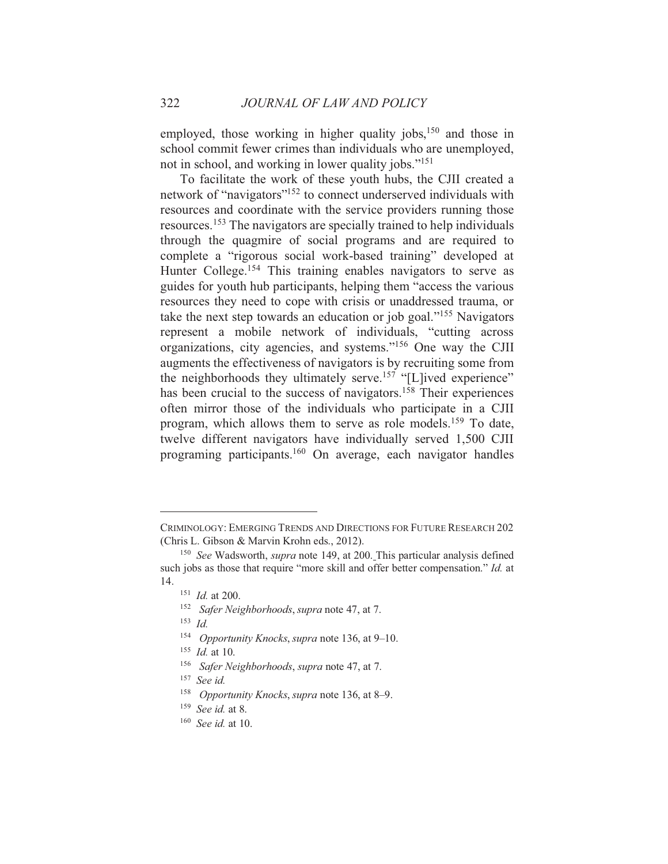employed, those working in higher quality jobs, <sup>150</sup> and those in school commit fewer crimes than individuals who are unemployed, not in school, and working in lower quality jobs."<sup>151</sup>

To facilitate the work of these youth hubs, the CJII created a network of "navigators"<sup>152</sup> to connect underserved individuals with resources and coordinate with the service providers running those resources.<sup>153</sup> The navigators are specially trained to help individuals through the quagmire of social programs and are required to complete a "rigorous social work-based training" developed at Hunter College.<sup>154</sup> This training enables navigators to serve as guides for youth hub participants, helping them "access the various" resources they need to cope with crisis or unaddressed trauma, or take the next step towards an education or job goal."<sup>155</sup> Navigators represent a mobile network of individuals, "cutting across" organizations, city agencies, and systems."<sup>156</sup> One way the CJII augments the effectiveness of navigators is by recruiting some from the neighborhoods they ultimately serve.<sup>157</sup> "[L]ived experience" has been crucial to the success of navigators.<sup>158</sup> Their experiences often mirror those of the individuals who participate in a CJII program, which allows them to serve as role models.<sup>159</sup> To date, twelve different navigators have individually served 1,500 CJII programing participants.<sup>160</sup> On average, each navigator handles

- <sup>154</sup> Opportunity Knocks, supra note 136, at 9–10.
- $155$  *Id.* at 10.
- <sup>156</sup> Safer Neighborhoods, supra note 47, at 7.
- $157$  See id.
- <sup>158</sup> Opportunity Knocks, supra note 136, at 8–9.
- $159$  See id. at 8.
- $160$  See id. at 10.

CRIMINOLOGY: EMERGING TRENDS AND DIRECTIONS FOR FUTURE RESEARCH 202 (Chris L. Gibson & Marvin Krohn eds., 2012).

<sup>&</sup>lt;sup>150</sup> See Wadsworth, *supra* note 149, at 200. This particular analysis defined such jobs as those that require "more skill and offer better compensation." Id. at 14.

 $151$  *Id.* at 200.

<sup>&</sup>lt;sup>152</sup> Safer Neighborhoods, supra note 47, at 7.

 $153$  *Id.*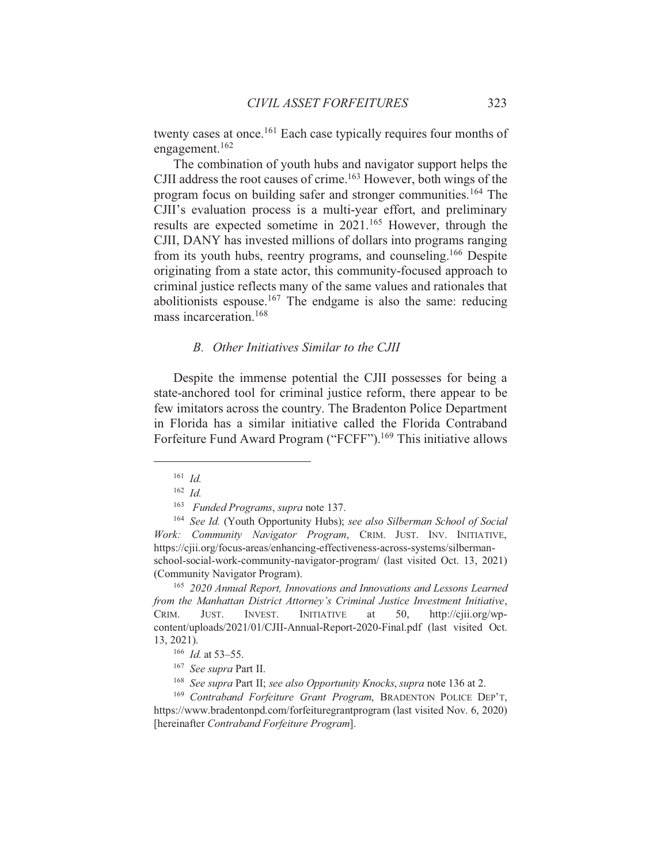twenty cases at once.<sup>161</sup> Each case typically requires four months of engagement. $162$ 

The combination of youth hubs and navigator support helps the CJII address the root causes of crime.<sup>163</sup> However, both wings of the program focus on building safer and stronger communities.<sup>164</sup> The CJII's evaluation process is a multi-year effort, and preliminary results are expected sometime in 2021.<sup>165</sup> However, through the CJII, DANY has invested millions of dollars into programs ranging from its youth hubs, reentry programs, and counseling.<sup>166</sup> Despite originating from a state actor, this community-focused approach to criminal justice reflects many of the same values and rationales that abolitionists espouse.<sup>167</sup> The endgame is also the same: reducing mass incarceration.<sup>168</sup>

### B. Other Initiatives Similar to the CJII

Despite the immense potential the CJII possesses for being a state-anchored tool for criminal justice reform, there appear to be few imitators across the country. The Bradenton Police Department in Florida has a similar initiative called the Florida Contraband Forfeiture Fund Award Program ("FCFF").<sup>169</sup> This initiative allows

 $161$  *Id.* 

 $162$  *Id.* 

<sup>&</sup>lt;sup>163</sup> Funded Programs, supra note 137.

<sup>&</sup>lt;sup>164</sup> See Id. (Youth Opportunity Hubs); see also Silberman School of Social Work: Community Navigator Program, CRIM. JUST. INV. INITIATIVE, https://cjii.org/focus-areas/enhancing-effectiveness-across-systems/silbermanschool-social-work-community-navigator-program/ (last visited Oct. 13, 2021) (Community Navigator Program).

<sup>&</sup>lt;sup>165</sup> 2020 Annual Report, Innovations and Innovations and Lessons Learned from the Manhattan District Attorney's Criminal Justice Investment Initiative, **INITIATIVE** CRIM. JUST. **INVEST.** at 50. http://ciii.org/wpcontent/uploads/2021/01/CJII-Annual-Report-2020-Final.pdf (last visited Oct. 13, 2021).

<sup>&</sup>lt;sup>166</sup> *Id.* at 53–55.

<sup>&</sup>lt;sup>167</sup> See supra Part II.

<sup>&</sup>lt;sup>168</sup> See supra Part II; see also Opportunity Knocks, supra note 136 at 2.

<sup>&</sup>lt;sup>169</sup> Contraband Forfeiture Grant Program, BRADENTON POLICE DEP'T, https://www.bradentonpd.com/forfeituregrantprogram (last visited Nov. 6, 2020) [hereinafter Contraband Forfeiture Program].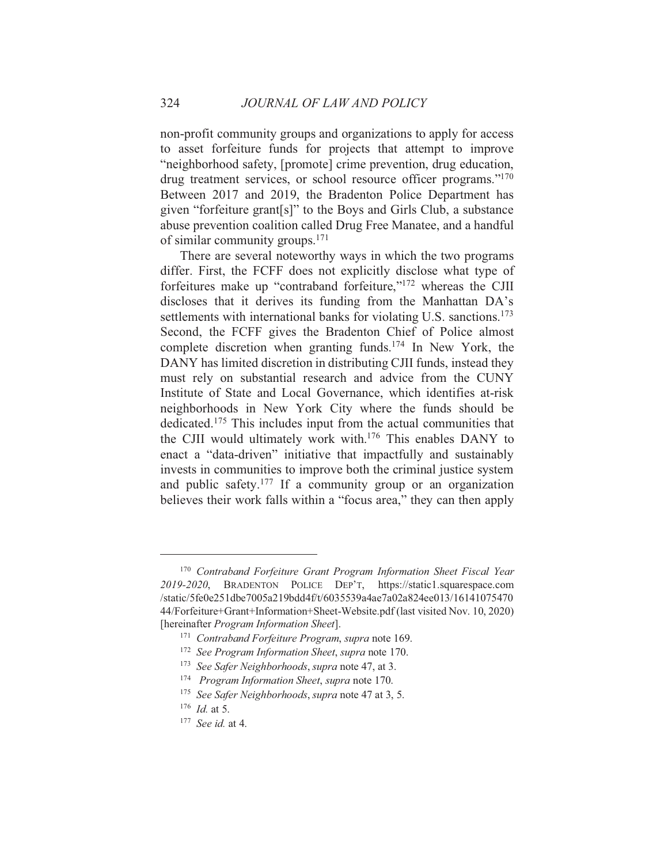non-profit community groups and organizations to apply for access to asset forfeiture funds for projects that attempt to improve "neighborhood safety, [promote] crime prevention, drug education, drug treatment services, or school resource officer programs."<sup>170</sup> Between 2017 and 2019, the Bradenton Police Department has given "forfeiture grant[s]" to the Boys and Girls Club, a substance abuse prevention coalition called Drug Free Manatee, and a handful of similar community groups. $171$ 

There are several noteworthy ways in which the two programs differ. First, the FCFF does not explicitly disclose what type of forfeitures make up "contraband forfeiture,"<sup>172</sup> whereas the CJII discloses that it derives its funding from the Manhattan DA's settlements with international banks for violating U.S. sanctions.<sup>173</sup> Second, the FCFF gives the Bradenton Chief of Police almost complete discretion when granting funds.<sup>174</sup> In New York, the DANY has limited discretion in distributing CJII funds, instead they must rely on substantial research and advice from the CUNY Institute of State and Local Governance, which identifies at-risk neighborhoods in New York City where the funds should be dedicated.<sup>175</sup> This includes input from the actual communities that the CJII would ultimately work with.<sup>176</sup> This enables DANY to enact a "data-driven" initiative that impactfully and sustainably invests in communities to improve both the criminal justice system and public safety.<sup>177</sup> If a community group or an organization believes their work falls within a "focus area," they can then apply

<sup>&</sup>lt;sup>170</sup> Contraband Forfeiture Grant Program Information Sheet Fiscal Year 2019-2020, BRADENTON POLICE DEP'T, https://static1.squarespace.com /static/5fe0e251dbe7005a219bdd4f/t/6035539a4ae7a02a824ee013/16141075470 44/Forfeiture+Grant+Information+Sheet-Website.pdf (last visited Nov. 10, 2020) [hereinafter Program Information Sheet].

<sup>&</sup>lt;sup>171</sup> Contraband Forfeiture Program, supra note 169.

<sup>&</sup>lt;sup>172</sup> See Program Information Sheet, supra note 170.

<sup>&</sup>lt;sup>173</sup> See Safer Neighborhoods, supra note 47, at 3.

<sup>&</sup>lt;sup>174</sup> Program Information Sheet, supra note 170.

<sup>&</sup>lt;sup>175</sup> See Safer Neighborhoods, supra note 47 at 3, 5.

 $176$  *Id.* at 5.

 $177$  See id. at 4.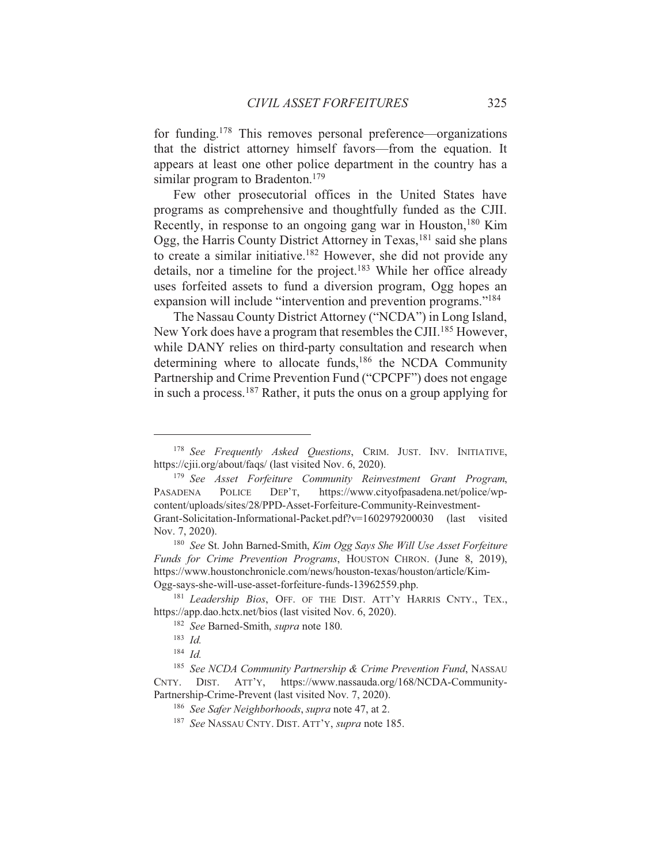for funding.<sup>178</sup> This removes personal preference—organizations that the district attorney himself favors—from the equation. It appears at least one other police department in the country has a similar program to Bradenton.<sup>179</sup>

Few other prosecutorial offices in the United States have programs as comprehensive and thoughtfully funded as the CJII. Recently, in response to an ongoing gang war in Houston,<sup>180</sup> Kim Ogg, the Harris County District Attorney in Texas, <sup>181</sup> said she plans to create a similar initiative.<sup>182</sup> However, she did not provide any details, nor a timeline for the project.<sup>183</sup> While her office already uses forfeited assets to fund a diversion program, Ogg hopes an expansion will include "intervention and prevention programs."<sup>184</sup>

The Nassau County District Attorney ("NCDA") in Long Island, New York does have a program that resembles the CJII.<sup>185</sup> However, while DANY relies on third-party consultation and research when determining where to allocate funds,<sup>186</sup> the NCDA Community Partnership and Crime Prevention Fund ("CPCPF") does not engage in such a process.  $187$  Rather, it puts the onus on a group applying for

<sup>180</sup> See St. John Barned-Smith, Kim Ogg Says She Will Use Asset Forfeiture Funds for Crime Prevention Programs, HOUSTON CHRON. (June 8, 2019), https://www.houstonchronicle.com/news/houston-texas/houston/article/Kim-Ogg-says-she-will-use-asset-forfeiture-funds-13962559.php.

<sup>&</sup>lt;sup>178</sup> See Frequently Asked Ouestions, CRIM. JUST. INV. INITIATIVE, https://cjii.org/about/faqs/ (last visited Nov. 6, 2020).

<sup>&</sup>lt;sup>179</sup> See Asset Forfeiture Community Reinvestment Grant Program, https://www.cityofpasadena.net/police/wp-PASADENA POLICE DEP'T, content/uploads/sites/28/PPD-Asset-Forfeiture-Community-Reinvestment-Grant-Solicitation-Informational-Packet.pdf?v=1602979200030 (last visited Nov. 7, 2020).

<sup>&</sup>lt;sup>181</sup> Leadership Bios, OFF. OF THE DIST. ATT'Y HARRIS CNTY., TEX., https://app.dao.hctx.net/bios (last visited Nov. 6, 2020).

<sup>&</sup>lt;sup>182</sup> See Barned-Smith, *supra* note 180.

 $183$  Id.

 $184$  *Id.* 

<sup>&</sup>lt;sup>185</sup> See NCDA Community Partnership & Crime Prevention Fund, NASSAU CNTY. DIST. ATT'Y, https://www.nassauda.org/168/NCDA-Community-Partnership-Crime-Prevent (last visited Nov. 7, 2020).

<sup>&</sup>lt;sup>186</sup> See Safer Neighborhoods, supra note 47, at 2.

<sup>&</sup>lt;sup>187</sup> See NASSAU CNTY, DIST, ATT'Y, *supra* note 185.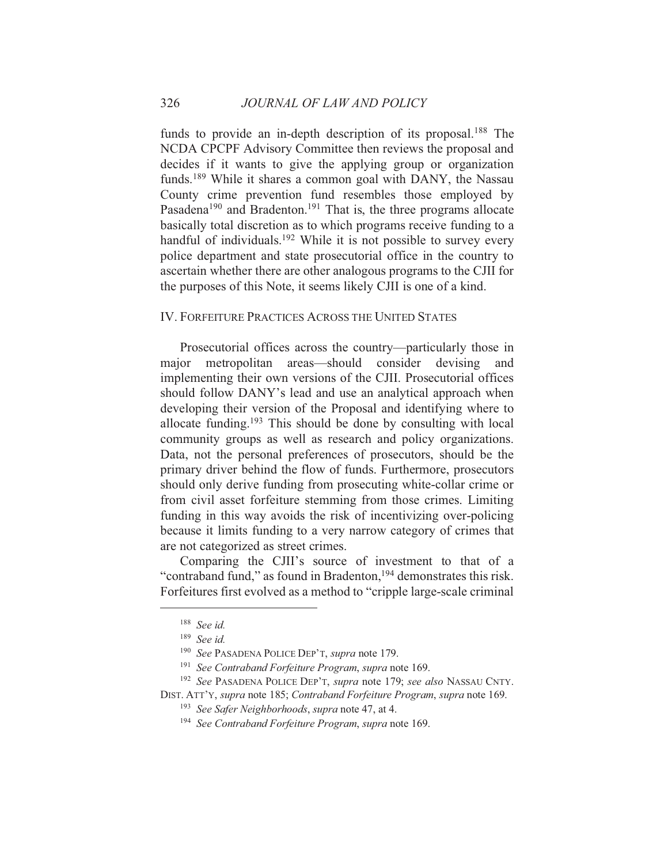funds to provide an in-depth description of its proposal.<sup>188</sup> The NCDA CPCPF Advisory Committee then reviews the proposal and decides if it wants to give the applying group or organization funds.<sup>189</sup> While it shares a common goal with DANY, the Nassau County crime prevention fund resembles those employed by Pasadena<sup>190</sup> and Bradenton.<sup>191</sup> That is, the three programs allocate basically total discretion as to which programs receive funding to a handful of individuals.<sup>192</sup> While it is not possible to survey every police department and state prosecutorial office in the country to ascertain whether there are other analogous programs to the CJII for the purposes of this Note, it seems likely CJII is one of a kind.

#### IV. FORFEITURE PRACTICES ACROSS THE UNITED STATES

Prosecutorial offices across the country—particularly those in major metropolitan areas—should consider devising and implementing their own versions of the CJII. Prosecutorial offices should follow DANY's lead and use an analytical approach when developing their version of the Proposal and identifying where to allocate funding.<sup>193</sup> This should be done by consulting with local community groups as well as research and policy organizations. Data, not the personal preferences of prosecutors, should be the primary driver behind the flow of funds. Furthermore, prosecutors should only derive funding from prosecuting white-collar crime or from civil asset forfeiture stemming from those crimes. Limiting funding in this way avoids the risk of incentivizing over-policing because it limits funding to a very narrow category of crimes that are not categorized as street crimes.

Comparing the CJII's source of investment to that of a "contraband fund," as found in Bradenton,<sup>194</sup> demonstrates this risk. Forfeitures first evolved as a method to "cripple large-scale criminal"

<sup>192</sup> See PASADENA POLICE DEP'T, *supra* note 179; see also NASSAU CNTY. DIST. ATT'Y, supra note 185; Contraband Forfeiture Program, supra note 169.

 $188$  See id.

 $189$  See id.

<sup>&</sup>lt;sup>190</sup> See PASADENA POLICE DEP'T, supra note 179.

<sup>&</sup>lt;sup>191</sup> See Contraband Forfeiture Program, supra note 169.

<sup>&</sup>lt;sup>193</sup> See Safer Neighborhoods, supra note 47, at 4.

<sup>&</sup>lt;sup>194</sup> See Contraband Forfeiture Program, supra note 169.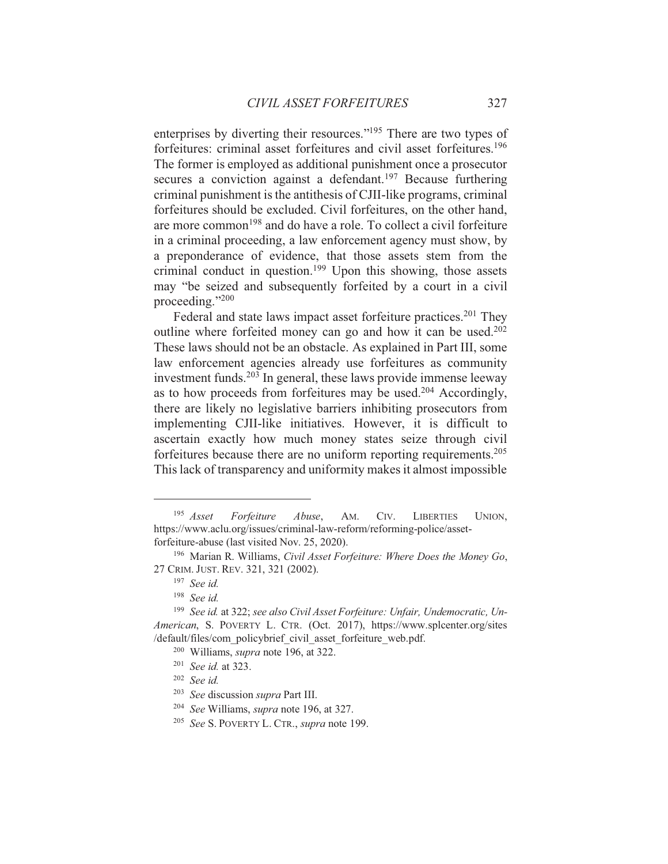enterprises by diverting their resources."<sup>195</sup> There are two types of forfeitures: criminal asset forfeitures and civil asset forfeitures.<sup>196</sup> The former is employed as additional punishment once a prosecutor secures a conviction against a defendant.<sup>197</sup> Because furthering criminal punishment is the antithesis of CJII-like programs, criminal forfeitures should be excluded. Civil forfeitures, on the other hand, are more common<sup>198</sup> and do have a role. To collect a civil forfeiture in a criminal proceeding, a law enforcement agency must show, by a preponderance of evidence, that those assets stem from the criminal conduct in question.<sup>199</sup> Upon this showing, those assets may "be seized and subsequently forfeited by a court in a civil proceeding." $200$ 

Federal and state laws impact asset forfeiture practices.<sup>201</sup> They outline where forfeited money can go and how it can be used.<sup>202</sup> These laws should not be an obstacle. As explained in Part III, some law enforcement agencies already use forfeitures as community investment funds.<sup>203</sup> In general, these laws provide immense leeway as to how proceeds from forfeitures may be used.<sup>204</sup> Accordingly, there are likely no legislative barriers inhibiting prosecutors from implementing CJII-like initiatives. However, it is difficult to ascertain exactly how much money states seize through civil forfeitures because there are no uniform reporting requirements.<sup>205</sup> This lack of transparency and uniformity makes it almost impossible

 $195$  Asset Forfeiture Abuse. AM. CIV. **LIBERTIES** UNION. https://www.aclu.org/issues/criminal-law-reform/reforming-police/assetforfeiture-abuse (last visited Nov. 25, 2020).

<sup>&</sup>lt;sup>196</sup> Marian R. Williams, *Civil Asset Forfeiture: Where Does the Money Go*, 27 CRIM. JUST. REV. 321, 321 (2002).

 $197$  See id.

 $198$  See id.

<sup>&</sup>lt;sup>199</sup> See id. at 322; see also Civil Asset Forfeiture: Unfair, Undemocratic, Un-American, S. POVERTY L. CTR. (Oct. 2017), https://www.splcenter.org/sites /default/files/com policybrief civil asset forfeiture web.pdf.

<sup>&</sup>lt;sup>200</sup> Williams, *supra* note 196, at 322.

 $201$  See id. at 323.

 $202$  See id.

<sup>&</sup>lt;sup>203</sup> See discussion supra Part III.

<sup>&</sup>lt;sup>204</sup> See Williams, *supra* note 196, at 327.

<sup>&</sup>lt;sup>205</sup> See S. POVERTY L. CTR., *supra* note 199.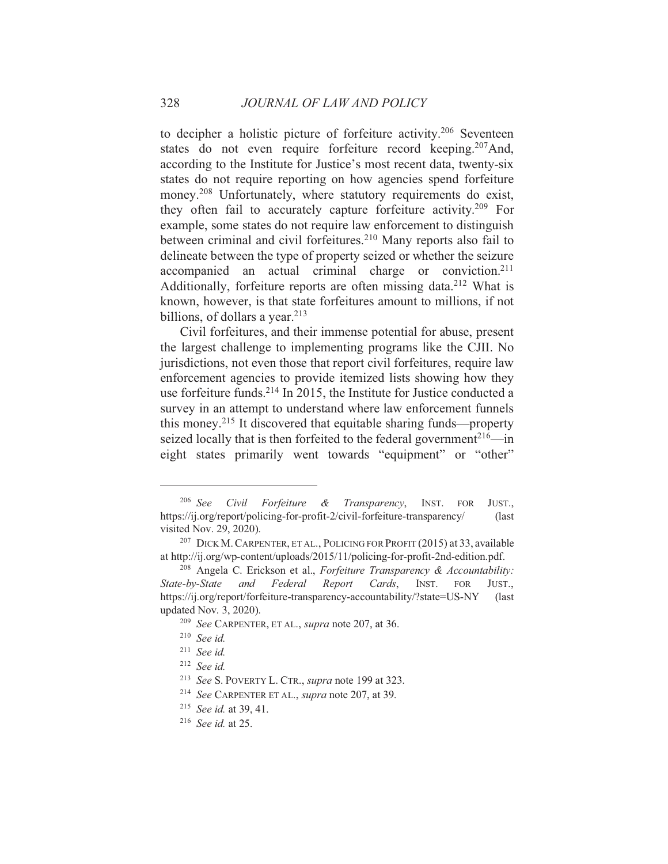to decipher a holistic picture of forfeiture activity.<sup>206</sup> Seventeen states do not even require forfeiture record keeping.<sup>207</sup>And, according to the Institute for Justice's most recent data, twenty-six states do not require reporting on how agencies spend forfeiture money.<sup>208</sup> Unfortunately, where statutory requirements do exist, they often fail to accurately capture forfeiture activity.<sup>209</sup> For example, some states do not require law enforcement to distinguish between criminal and civil forfeitures.<sup>210</sup> Many reports also fail to delineate between the type of property seized or whether the seizure accompanied an actual criminal charge or conviction.<sup>211</sup> Additionally, forfeiture reports are often missing data.<sup>212</sup> What is known, however, is that state forfeitures amount to millions, if not billions, of dollars a year.  $213$ 

Civil forfeitures, and their immense potential for abuse, present the largest challenge to implementing programs like the CJII. No jurisdictions, not even those that report civil forfeitures, require law enforcement agencies to provide itemized lists showing how they use forfeiture funds.<sup>214</sup> In 2015, the Institute for Justice conducted a survey in an attempt to understand where law enforcement funnels this money.<sup>215</sup> It discovered that equitable sharing funds—property seized locally that is then forfeited to the federal government<sup>216</sup>—in eight states primarily went towards "equipment" or "other"

 $206$  See Civil Forfeiture & Transparency, INST. FOR JUST., https://ij.org/report/policing-for-profit-2/civil-forfeiture-transparency/  $\int$ visited Nov. 29, 2020).

<sup>&</sup>lt;sup>207</sup> DICK M. CARPENTER, ET AL., POLICING FOR PROFIT (2015) at 33, available at http://ij.org/wp-content/uploads/2015/11/policing-for-profit-2nd-edition.pdf.

<sup>&</sup>lt;sup>208</sup> Angela C. Erickson et al., Forfeiture Transparency & Accountability: Cards. State-by-State and Report INST. Federal **FOR** JUST.. https://ij.org/report/forfeiture-transparency-accountability/?state=US-NY (last) updated Nov. 3, 2020).

<sup>&</sup>lt;sup>209</sup> See CARPENTER, ET AL., *supra* note 207, at 36.

 $210$  See id.

 $211$  See id.

 $212$  See id.

<sup>&</sup>lt;sup>213</sup> See S. POVERTY L. CTR., *supra* note 199 at 323.

<sup>&</sup>lt;sup>214</sup> See CARPENTER ET AL., *supra* note 207, at 39.

<sup>&</sup>lt;sup>215</sup> See id. at 39, 41.

 $216$  See id. at 25.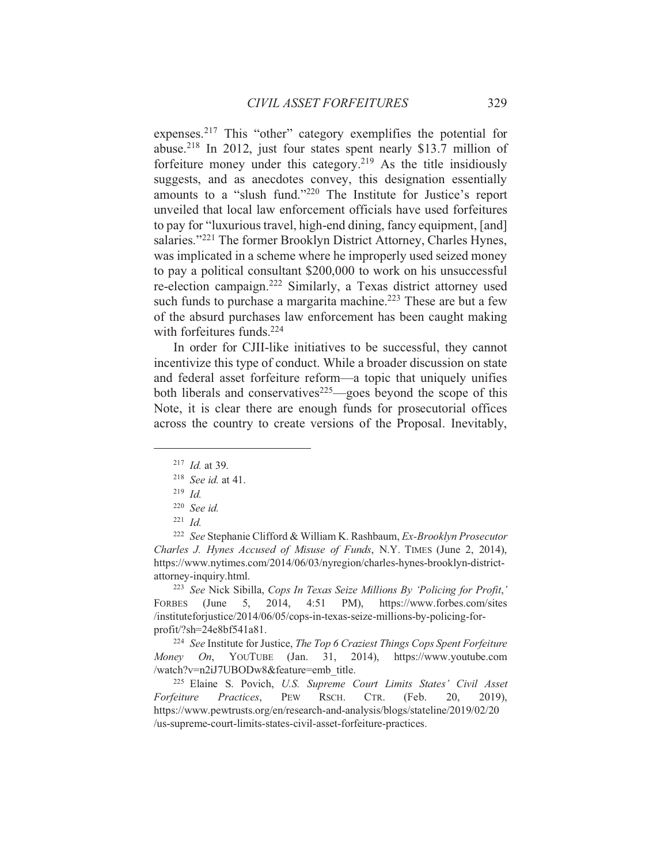expenses.<sup>217</sup> This "other" category exemplifies the potential for abuse.<sup>218</sup> In 2012, just four states spent nearly \$13.7 million of forfeiture money under this category.<sup>219</sup> As the title insidiously suggests, and as anecdotes convey, this designation essentially amounts to a "slush fund."<sup>220</sup> The Institute for Justice's report unveiled that local law enforcement officials have used forfeitures to pay for "luxurious travel, high-end dining, fancy equipment, [and] salaries."<sup>221</sup> The former Brooklyn District Attorney, Charles Hynes, was implicated in a scheme where he improperly used seized money to pay a political consultant \$200,000 to work on his unsuccessful re-election campaign.<sup>222</sup> Similarly, a Texas district attorney used such funds to purchase a margarita machine.<sup>223</sup> These are but a few of the absurd purchases law enforcement has been caught making with forfeitures funds.<sup>224</sup>

In order for CJII-like initiatives to be successful, they cannot incentivize this type of conduct. While a broader discussion on state and federal asset forfeiture reform-a topic that uniquely unifies both liberals and conservatives<sup>225</sup>—goes beyond the scope of this Note, it is clear there are enough funds for prosecutorial offices across the country to create versions of the Proposal. Inevitably,

<sup>222</sup> See Stephanie Clifford & William K. Rashbaum, Ex-Brooklyn Prosecutor Charles J. Hynes Accused of Misuse of Funds, N.Y. TIMES (June 2, 2014), https://www.nytimes.com/2014/06/03/nyregion/charles-hynes-brooklyn-districtattorney-inquiry.html.

<sup>223</sup> See Nick Sibilla, Cops In Texas Seize Millions By 'Policing for Profit,'  $5, 2014, 4:51 \text{ PM}$ , https://www.forbes.com/sites FORBES (June /instituteforjustice/2014/06/05/cops-in-texas-seize-millions-by-policing-for $profit \text{\textdegree}{?} sh = 24e8bf541a81.$ 

<sup>224</sup> See Institute for Justice, The Top 6 Craziest Things Cops Spent Forfeiture Money On, YOUTUBE (Jan. 31, 2014), https://www.youtube.com /watch?v=n2iJ7UBODw8&feature=emb title.

<sup>225</sup> Elaine S. Povich, U.S. Supreme Court Limits States' Civil Asset Forfeiture Practices, **PEW** RSCH. CTR. (Feb. 20,  $2019$ ), https://www.pewtrusts.org/en/research-and-analysis/blogs/stateline/2019/02/20 /us-supreme-court-limits-states-civil-asset-forfeiture-practices.

 $217$  *Id.* at 39.

 $218$  *See id.* at 41.

 $219$  *Id.* 

 $220$  See id.

 $221$  *Id.*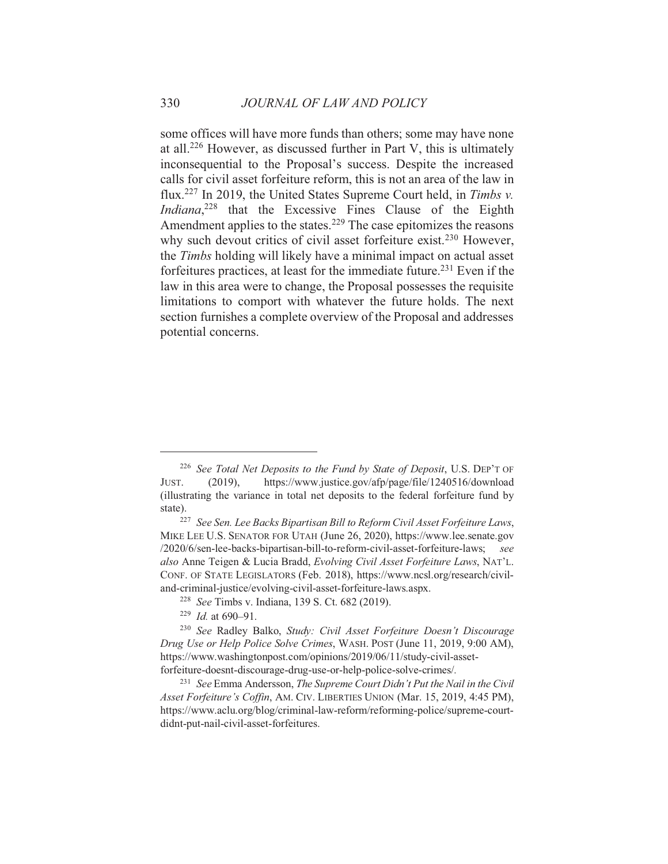some offices will have more funds than others; some may have none at all.<sup>226</sup> However, as discussed further in Part V, this is ultimately inconsequential to the Proposal's success. Despite the increased calls for civil asset forfeiture reform, this is not an area of the law in flux.<sup>227</sup> In 2019, the United States Supreme Court held, in Timbs v. Indiana,<sup>228</sup> that the Excessive Fines Clause of the Eighth Amendment applies to the states.<sup>229</sup> The case epitomizes the reasons why such devout critics of civil asset forfeiture exist.<sup>230</sup> However, the Timbs holding will likely have a minimal impact on actual asset forfeitures practices, at least for the immediate future.<sup>231</sup> Even if the law in this area were to change, the Proposal possesses the requisite limitations to comport with whatever the future holds. The next section furnishes a complete overview of the Proposal and addresses potential concerns.

<sup>&</sup>lt;sup>226</sup> See Total Net Deposits to the Fund by State of Deposit, U.S. DEP'T OF JUST.  $(2019),$ https://www.justice.gov/afp/page/file/1240516/download (illustrating the variance in total net deposits to the federal forfeiture fund by state).

<sup>&</sup>lt;sup>227</sup> See Sen. Lee Backs Bipartisan Bill to Reform Civil Asset Forfeiture Laws, MIKE LEE U.S. SENATOR FOR UTAH (June 26, 2020), https://www.lee.senate.gov /2020/6/sen-lee-backs-bipartisan-bill-to-reform-civil-asset-forfeiture-laws; see also Anne Teigen & Lucia Bradd, Evolving Civil Asset Forfeiture Laws, NAT'L. CONF. OF STATE LEGISLATORS (Feb. 2018), https://www.ncsl.org/research/civiland-criminal-justice/evolving-civil-asset-forfeiture-laws.aspx.

<sup>&</sup>lt;sup>228</sup> See Timbs v. Indiana, 139 S. Ct. 682 (2019).

 $229$  *Id.* at 690-91.

<sup>&</sup>lt;sup>230</sup> See Radley Balko, Study: Civil Asset Forfeiture Doesn't Discourage Drug Use or Help Police Solve Crimes, WASH. POST (June 11, 2019, 9:00 AM), https://www.washingtonpost.com/opinions/2019/06/11/study-civil-assetforfeiture-doesnt-discourage-drug-use-or-help-police-solve-crimes/.

<sup>&</sup>lt;sup>231</sup> See Emma Andersson, The Supreme Court Didn't Put the Nail in the Civil Asset Forfeiture's Coffin, AM. CIV. LIBERTIES UNION (Mar. 15, 2019, 4:45 PM), https://www.aclu.org/blog/criminal-law-reform/reforming-police/supreme-courtdidnt-put-nail-civil-asset-forfeitures.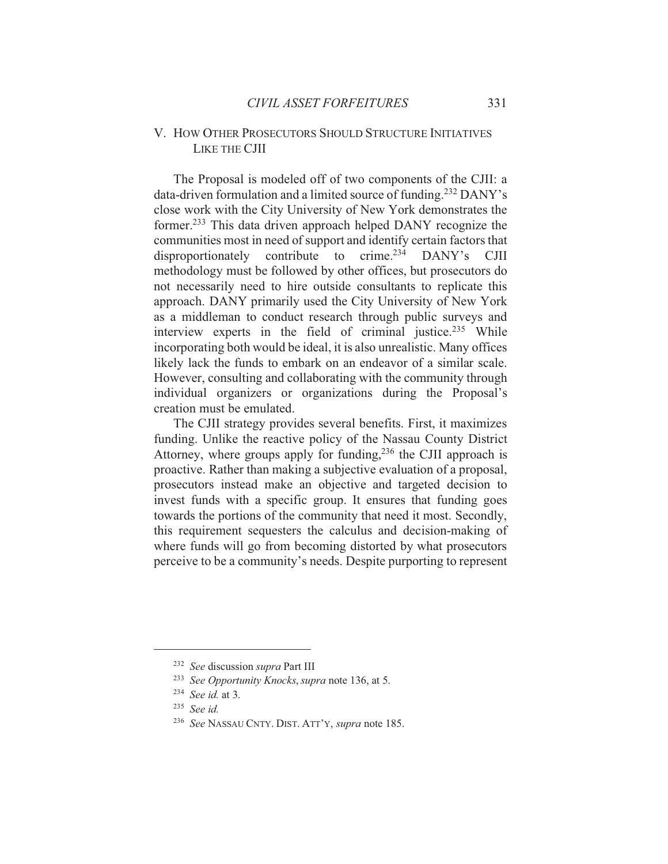## V. HOW OTHER PROSECUTORS SHOULD STRUCTURE INITIATIVES LIKE THE CJII

The Proposal is modeled off of two components of the CJII: a data-driven formulation and a limited source of funding.<sup>232</sup> DANY's close work with the City University of New York demonstrates the former.<sup>233</sup> This data driven approach helped DANY recognize the communities most in need of support and identify certain factors that disproportionately contribute to crime.<sup>234</sup> DANY's **CJII** methodology must be followed by other offices, but prosecutors do not necessarily need to hire outside consultants to replicate this approach. DANY primarily used the City University of New York as a middleman to conduct research through public surveys and interview experts in the field of criminal justice.<sup>235</sup> While incorporating both would be ideal, it is also unrealistic. Many offices likely lack the funds to embark on an endeavor of a similar scale. However, consulting and collaborating with the community through individual organizers or organizations during the Proposal's creation must be emulated.

The CJII strategy provides several benefits. First, it maximizes funding. Unlike the reactive policy of the Nassau County District Attorney, where groups apply for funding,<sup>236</sup> the CJII approach is proactive. Rather than making a subjective evaluation of a proposal, prosecutors instead make an objective and targeted decision to invest funds with a specific group. It ensures that funding goes towards the portions of the community that need it most. Secondly, this requirement sequesters the calculus and decision-making of where funds will go from becoming distorted by what prosecutors perceive to be a community's needs. Despite purporting to represent

<sup>&</sup>lt;sup>232</sup> See discussion supra Part III

<sup>&</sup>lt;sup>233</sup> See Opportunity Knocks, supra note 136, at 5.

 $234$  See id. at 3.

 $235$  See id.

<sup>&</sup>lt;sup>236</sup> See NASSAU CNTY. DIST. ATT'Y, supra note 185.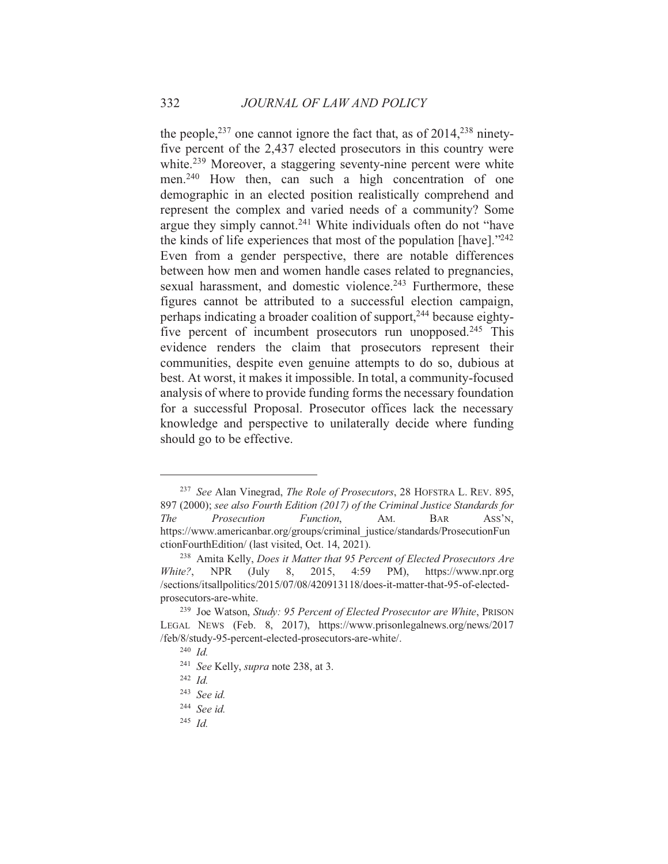the people,  $237$  one cannot ignore the fact that, as of  $2014$ ,  $238$  ninetyfive percent of the 2,437 elected prosecutors in this country were white.<sup>239</sup> Moreover, a staggering seventy-nine percent were white men.<sup>240</sup> How then, can such a high concentration of one demographic in an elected position realistically comprehend and represent the complex and varied needs of a community? Some argue they simply cannot.<sup>241</sup> White individuals often do not "have the kinds of life experiences that most of the population [have]."242 Even from a gender perspective, there are notable differences between how men and women handle cases related to pregnancies, sexual harassment, and domestic violence.<sup>243</sup> Furthermore, these figures cannot be attributed to a successful election campaign, perhaps indicating a broader coalition of support,<sup>244</sup> because eightyfive percent of incumbent prosecutors run unopposed.<sup>245</sup> This evidence renders the claim that prosecutors represent their communities, despite even genuine attempts to do so, dubious at best. At worst, it makes it impossible. In total, a community-focused analysis of where to provide funding forms the necessary foundation for a successful Proposal. Prosecutor offices lack the necessary knowledge and perspective to unilaterally decide where funding should go to be effective.

<sup>&</sup>lt;sup>237</sup> See Alan Vinegrad, The Role of Prosecutors, 28 HOFSTRA L. REV. 895, 897 (2000); see also Fourth Edition (2017) of the Criminal Justice Standards for **The** Prosecution Function. AM. **BAR** ASS'N. https://www.americanbar.org/groups/criminal justice/standards/ProsecutionFun ctionFourthEdition/ (last visited, Oct. 14, 2021).

<sup>&</sup>lt;sup>238</sup> Amita Kelly, *Does it Matter that 95 Percent of Elected Prosecutors Are* https://www.npr.org 8, 2015, 4:59  $PM$ ), White?, **NPR** (July /sections/itsallpolitics/2015/07/08/420913118/does-it-matter-that-95-of-electedprosecutors-are-white.

<sup>&</sup>lt;sup>239</sup> Joe Watson, Study: 95 Percent of Elected Prosecutor are White, PRISON LEGAL NEWS (Feb. 8, 2017), https://www.prisonlegalnews.org/news/2017 /feb/8/study-95-percent-elected-prosecutors-are-white/.

 $240$  *Id.* 

<sup>&</sup>lt;sup>241</sup> See Kelly, supra note 238, at 3.

 $242$  *Id.* 

 $243$  See id.

 $244$  See id.

<sup>&</sup>lt;sup>245</sup> Id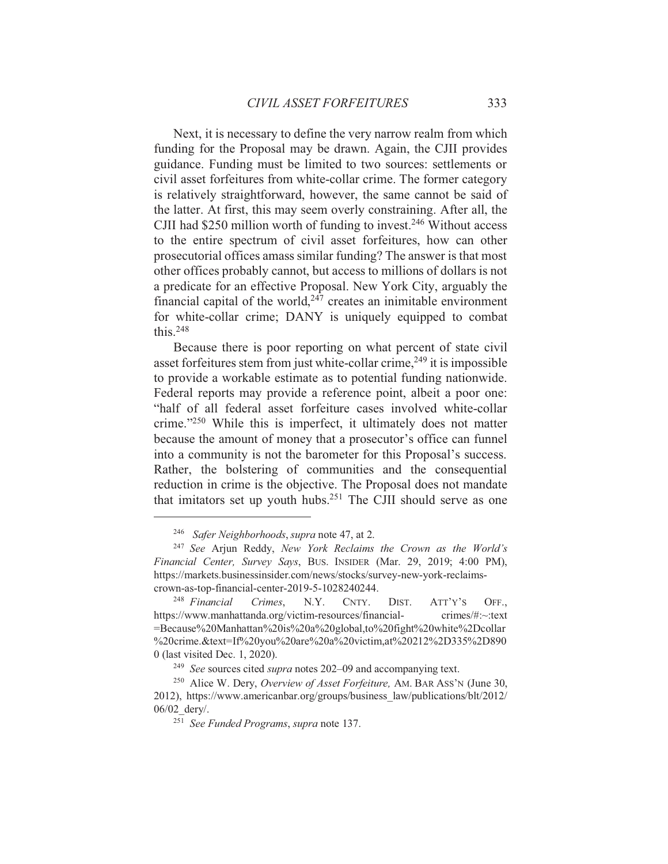Next, it is necessary to define the very narrow realm from which funding for the Proposal may be drawn. Again, the CJII provides guidance. Funding must be limited to two sources: settlements or civil asset forfeitures from white-collar crime. The former category is relatively straightforward, however, the same cannot be said of the latter. At first, this may seem overly constraining. After all, the CJII had \$250 million worth of funding to invest.<sup>246</sup> Without access to the entire spectrum of civil asset forfeitures, how can other prosecutorial offices amass similar funding? The answer is that most other offices probably cannot, but access to millions of dollars is not a predicate for an effective Proposal. New York City, arguably the financial capital of the world, $247$  creates an inimitable environment for white-collar crime; DANY is uniquely equipped to combat this  $248$ 

Because there is poor reporting on what percent of state civil asset forfeitures stem from just white-collar crime,<sup>249</sup> it is impossible to provide a workable estimate as to potential funding nationwide. Federal reports may provide a reference point, albeit a poor one: "half of all federal asset forfeiture cases involved white-collar crime."<sup>250</sup> While this is imperfect, it ultimately does not matter because the amount of money that a prosecutor's office can funnel into a community is not the barometer for this Proposal's success. Rather, the bolstering of communities and the consequential reduction in crime is the objective. The Proposal does not mandate that imitators set up youth hubs.<sup>251</sup> The CJII should serve as one

<sup>&</sup>lt;sup>246</sup> Safer Neighborhoods, supra note 47, at 2.

<sup>&</sup>lt;sup>247</sup> See Arjun Reddy, New York Reclaims the Crown as the World's Financial Center, Survey Says, BUS. INSIDER (Mar. 29, 2019; 4:00 PM), https://markets.businessinsider.com/news/stocks/survey-new-york-reclaimscrown-as-top-financial-center-2019-5-1028240244.

<sup>&</sup>lt;sup>248</sup> Financial Crimes.  $N.Y.$ CNTY. DIST.  $ATT'Y'S$ OFF. https://www.manhattanda.org/victim-resources/financialcrimes/#:~:text =Because%20Manhattan%20is%20a%20global.to%20fight%20white%2Dcollar %20crime.&text=If%20you%20are%20a%20victim,at%20212%2D335%2D890 0 (last visited Dec. 1, 2020).

<sup>&</sup>lt;sup>249</sup> See sources cited supra notes 202-09 and accompanying text.

<sup>&</sup>lt;sup>250</sup> Alice W. Dery, Overview of Asset Forfeiture, AM. BAR ASS'N (June 30, 2012), https://www.americanbar.org/groups/business law/publications/blt/2012/ 06/02 dery/.

<sup>&</sup>lt;sup>251</sup> See Funded Programs, supra note 137.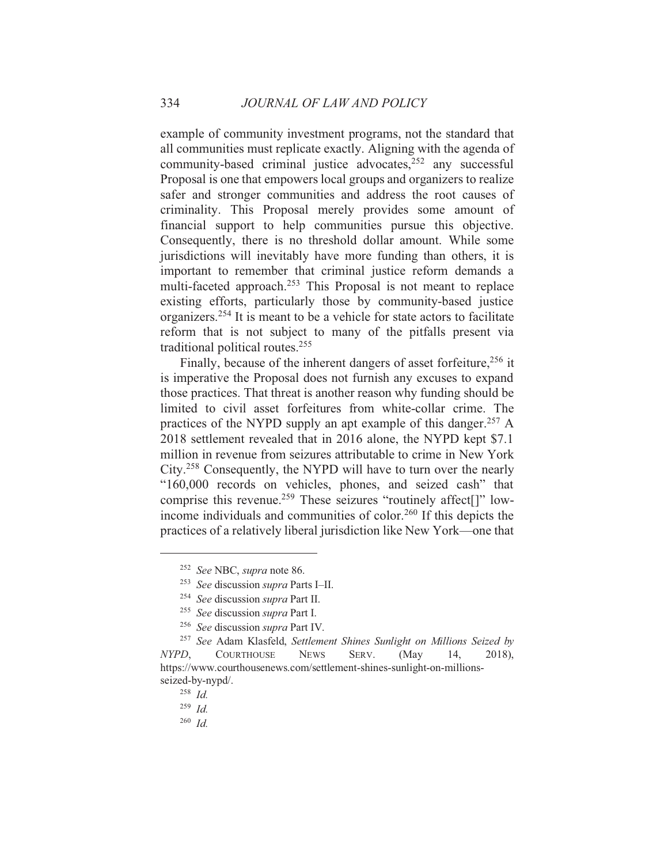example of community investment programs, not the standard that all communities must replicate exactly. Aligning with the agenda of community-based criminal justice advocates,<sup>252</sup> any successful Proposal is one that empowers local groups and organizers to realize safer and stronger communities and address the root causes of criminality. This Proposal merely provides some amount of financial support to help communities pursue this objective. Consequently, there is no threshold dollar amount. While some jurisdictions will inevitably have more funding than others, it is important to remember that criminal justice reform demands a multi-faceted approach.<sup>253</sup> This Proposal is not meant to replace existing efforts, particularly those by community-based justice organizers.<sup>254</sup> It is meant to be a vehicle for state actors to facilitate reform that is not subject to many of the pitfalls present via traditional political routes.<sup>255</sup>

Finally, because of the inherent dangers of asset forfeiture,<sup>256</sup> it is imperative the Proposal does not furnish any excuses to expand those practices. That threat is another reason why funding should be limited to civil asset forfeitures from white-collar crime. The practices of the NYPD supply an apt example of this danger.<sup>257</sup> A 2018 settlement revealed that in 2016 alone, the NYPD kept \$7.1 million in revenue from seizures attributable to crime in New York City.<sup>258</sup> Consequently, the NYPD will have to turn over the nearly "160,000 records on vehicles, phones, and seized cash" that comprise this revenue.<sup>259</sup> These seizures "routinely affect<sup>[]"</sup> lowincome individuals and communities of color.<sup>260</sup> If this depicts the practices of a relatively liberal jurisdiction like New York—one that

 $260$  Id

<sup>&</sup>lt;sup>252</sup> See NBC, supra note 86.

<sup>&</sup>lt;sup>253</sup> See discussion supra Parts I-II.

<sup>&</sup>lt;sup>254</sup> See discussion supra Part II.

<sup>&</sup>lt;sup>255</sup> See discussion supra Part I.

<sup>&</sup>lt;sup>256</sup> See discussion supra Part IV.

<sup>&</sup>lt;sup>257</sup> See Adam Klasfeld, Settlement Shines Sunlight on Millions Seized by NYPD. **COURTHOUSE NEWS** SERV.  $(May)$ 14.  $2018$ ). https://www.courthousenews.com/settlement-shines-sunlight-on-millionsseized-by-nypd/.

 $258$  *Id.* 

 $259$  *Id.*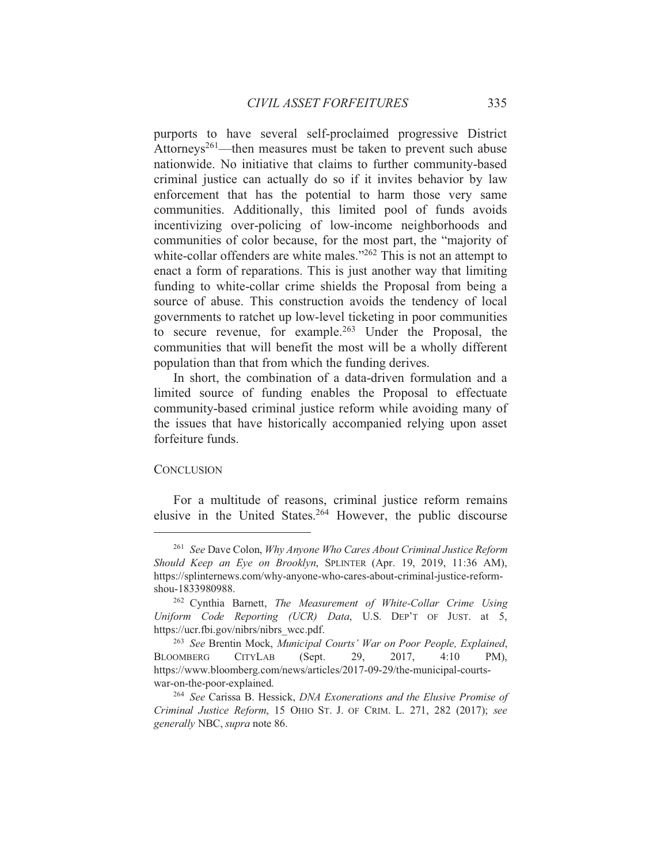purports to have several self-proclaimed progressive District Attorneys<sup>261</sup>—then measures must be taken to prevent such abuse nationwide. No initiative that claims to further community-based criminal justice can actually do so if it invites behavior by law enforcement that has the potential to harm those very same communities. Additionally, this limited pool of funds avoids incentivizing over-policing of low-income neighborhoods and communities of color because, for the most part, the "majority of white-collar offenders are white males."262 This is not an attempt to enact a form of reparations. This is just another way that limiting funding to white-collar crime shields the Proposal from being a source of abuse. This construction avoids the tendency of local governments to ratchet up low-level ticketing in poor communities to secure revenue, for example.<sup>263</sup> Under the Proposal, the communities that will benefit the most will be a wholly different population than that from which the funding derives.

In short, the combination of a data-driven formulation and a limited source of funding enables the Proposal to effectuate community-based criminal justice reform while avoiding many of the issues that have historically accompanied relying upon asset forfeiture funds.

#### **CONCLUSION**

For a multitude of reasons, criminal justice reform remains elusive in the United States.<sup>264</sup> However, the public discourse

<sup>&</sup>lt;sup>261</sup> See Dave Colon, Why Anyone Who Cares About Criminal Justice Reform Should Keep an Eye on Brooklyn, SPLINTER (Apr. 19, 2019, 11:36 AM), https://splinternews.com/why-anyone-who-cares-about-criminal-justice-reformshou-1833980988.

<sup>&</sup>lt;sup>262</sup> Cynthia Barnett, The Measurement of White-Collar Crime Using Uniform Code Reporting (UCR) Data, U.S. DEP'T OF JUST. at 5, https://ucr.fbi.gov/nibrs/nibrs wcc.pdf.

<sup>&</sup>lt;sup>263</sup> See Brentin Mock, Municipal Courts' War on Poor People, Explained, **BLOOMBERG CITYLAB** (Sept.) 29. 2017.  $4:10$ PM). https://www.bloomberg.com/news/articles/2017-09-29/the-municipal-courtswar-on-the-poor-explained.

<sup>&</sup>lt;sup>264</sup> See Carissa B. Hessick, *DNA Exonerations and the Elusive Promise of* Criminal Justice Reform, 15 OHIO ST. J. OF CRIM. L. 271, 282 (2017); see generally NBC, supra note 86.